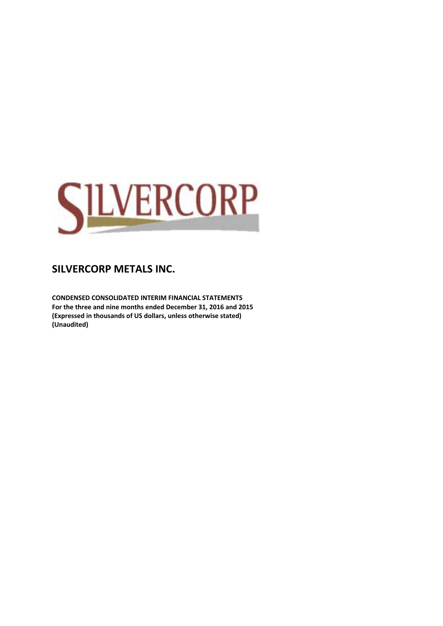

**CONDENSED CONSOLIDATED INTERIM FINANCIAL STATEMENTS For the three and nine months ended December 31, 2016 and 2015 (Expressed in thousands of US dollars, unless otherwise stated) (Unaudited)**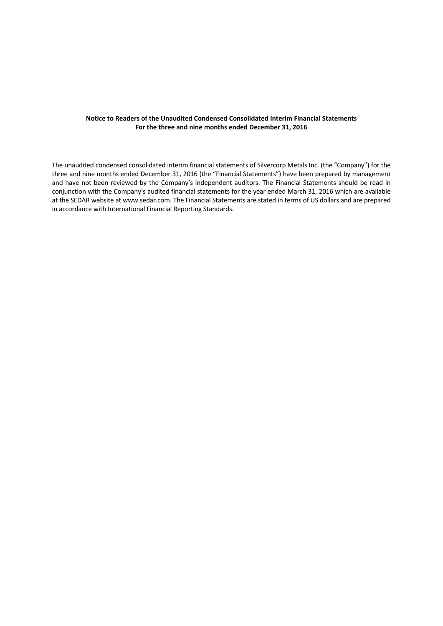#### **Notice to Readers of the Unaudited Condensed Consolidated Interim Financial Statements For the three and nine months ended December 31, 2016**

The unaudited condensed consolidated interim financial statements of Silvercorp Metals Inc. (the "Company") for the three and nine months ended December 31, 2016 (the "Financial Statements") have been prepared by management and have not been reviewed by the Company's independent auditors. The Financial Statements should be read in conjunction with the Company's audited financial statements for the year ended March 31, 2016 which are available at the SEDAR website at www.sedar.com. The Financial Statements are stated in terms of US dollars and are prepared in accordance with International Financial Reporting Standards.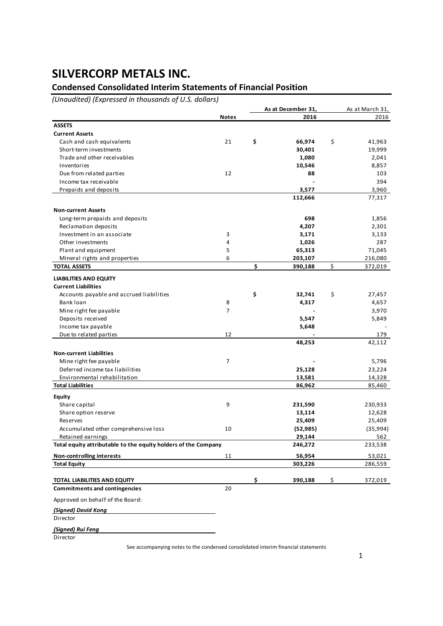## **Condensed Consolidated Interim Statements of Financial Position**

*(Unaudited) (Expressed in thousands of U.S. dollars)*

|                                                                |              | As at December 31, | As at March 31, |
|----------------------------------------------------------------|--------------|--------------------|-----------------|
|                                                                | <b>Notes</b> | 2016               | 2016            |
| <b>ASSETS</b>                                                  |              |                    |                 |
| <b>Current Assets</b>                                          |              |                    |                 |
| Cash and cash equivalents                                      | 21           | \$<br>66,974       | \$<br>41,963    |
| Short-term investments                                         |              | 30,401             | 19,999          |
| Trade and other receivables                                    |              | 1,080              | 2,041           |
| Inventories                                                    |              | 10,546             | 8,857           |
| Due from related parties                                       | 12           | 88                 | 103             |
| Income tax receivable                                          |              |                    | 394             |
| Prepaids and deposits                                          |              | 3,577              | 3,960           |
|                                                                |              | 112,666            | 77,317          |
|                                                                |              |                    |                 |
| <b>Non-current Assets</b>                                      |              |                    |                 |
| Long-term prepaids and deposits                                |              | 698                | 1,856           |
| Reclamation deposits                                           |              | 4,207              | 2,301           |
| Investment in an associate                                     | 3            | 3,171              | 3,133           |
| Other investments                                              | 4            | 1,026              | 287             |
| Plant and equipment                                            | 5            | 65,313             | 71,045          |
| Mineral rights and properties                                  | 6            | 203,107            | 216,080         |
| <b>TOTAL ASSETS</b>                                            |              | \$<br>390,188      | \$<br>372,019   |
| <b>LIABILITIES AND EQUITY</b>                                  |              |                    |                 |
| <b>Current Liabilities</b>                                     |              |                    |                 |
| Accounts payable and accrued liabilities                       |              | \$<br>32,741       | \$<br>27,457    |
| Bank loan                                                      | 8            | 4,317              | 4,657           |
| Mine right fee payable                                         | 7            |                    |                 |
|                                                                |              |                    | 3,970           |
| Deposits received                                              |              | 5,547              | 5,849           |
| Income tax payable                                             |              | 5,648              |                 |
| Due to related parties                                         | 12           |                    | 179             |
|                                                                |              | 48,253             | 42,112          |
| <b>Non-current Liabilities</b>                                 |              |                    |                 |
| Mine right fee payable                                         | 7            |                    | 5,796           |
| Deferred income tax liabilities                                |              | 25,128             | 23,224          |
| Environmental rehabilitation                                   |              | 13,581             | 14,328          |
| <b>Total Liabilities</b>                                       |              | 86,962             | 85,460          |
| <b>Equity</b>                                                  |              |                    |                 |
| Share capital                                                  | 9            | 231,590            | 230,933         |
| Share option reserve                                           |              | 13,114             | 12,628          |
| Reserves                                                       |              | 25,409             | 25,409          |
| Accumulated other comprehensive loss                           | 10           | (52, 985)          | (35,994)        |
| Retained earnings                                              |              | 29,144             | 562             |
| Total equity attributable to the equity holders of the Company |              | 246,272            | 233,538         |
|                                                                |              |                    |                 |
| <b>Non-controlling interests</b>                               | 11           | 56,954             | 53,021          |
| <b>Total Equity</b>                                            |              | 303,226            | 286,559         |
| <b>TOTAL LIABILITIES AND EQUITY</b>                            |              | \$<br>390,188      | \$<br>372,019   |
| <b>Commitments and contingencies</b>                           | 20           |                    |                 |
|                                                                |              |                    |                 |
| Approved on behalf of the Board:                               |              |                    |                 |
| (Signed) David Kong                                            |              |                    |                 |
| Director                                                       |              |                    |                 |
| (Signed) Rui Feng                                              |              |                    |                 |
|                                                                |              |                    |                 |

Director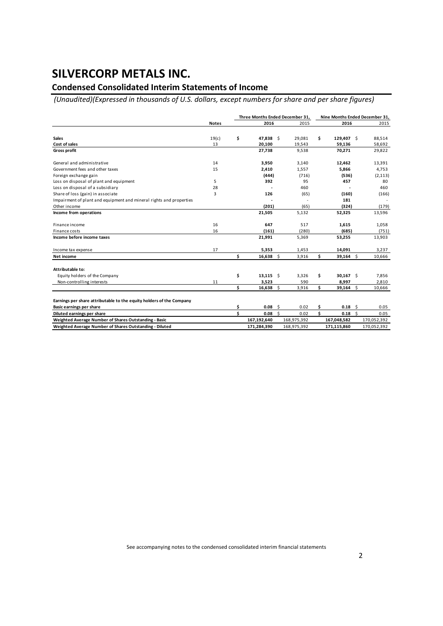### **Condensed Consolidated Interim Statements of Income**

*(Unaudited)(Expressed in thousands of U.S. dollars, except numbers for share and per share figures)*

|                                                                      |              | Three Months Ended December 31, |             |             |        |    | Nine Months Ended December 31, |    |             |  |
|----------------------------------------------------------------------|--------------|---------------------------------|-------------|-------------|--------|----|--------------------------------|----|-------------|--|
|                                                                      | <b>Notes</b> |                                 | 2016        |             | 2015   |    | 2016                           |    | 2015        |  |
|                                                                      |              |                                 |             |             |        |    |                                |    |             |  |
| <b>Sales</b>                                                         | 19(c)        | \$                              | 47,838 \$   |             | 29,081 | \$ | 129,407 \$                     |    | 88,514      |  |
| Cost of sales                                                        | 13           |                                 | 20,100      |             | 19,543 |    | 59,136                         |    | 58,692      |  |
| <b>Gross profit</b>                                                  |              |                                 | 27,738      |             | 9,538  |    | 70,271                         |    | 29,822      |  |
| General and administrative                                           | 14           |                                 | 3,950       |             | 3,140  |    | 12,462                         |    | 13,391      |  |
| Government fees and other taxes                                      | 15           |                                 | 2,410       |             | 1,557  |    | 5,866                          |    | 4,753       |  |
| Foreign exchange gain                                                |              |                                 | (444)       |             | (716)  |    | (536)                          |    | (2, 113)    |  |
| Loss on disposal of plant and equipment                              | 5            |                                 | 392         |             | 95     |    | 457                            |    | 80          |  |
| Loss on disposal of a subsidiary                                     | 28           |                                 |             |             | 460    |    |                                |    | 460         |  |
| Share of loss (gain) in associate                                    | 3            |                                 | 126         |             | (65)   |    | (160)                          |    | (166)       |  |
| Impairment of plant and equipment and mineral rights and properties  |              |                                 |             |             |        |    | 181                            |    |             |  |
| Other income                                                         |              |                                 | (201)       |             | (65)   |    | (324)                          |    | (179)       |  |
| Income from operations                                               |              |                                 | 21,505      |             | 5,132  |    | 52,325                         |    | 13,596      |  |
| Finance income                                                       | 16           |                                 | 647         |             | 517    |    | 1,615                          |    | 1,058       |  |
| Finance costs                                                        | 16           |                                 | (161)       |             | (280)  |    | (685)                          |    | (751)       |  |
| Income before income taxes                                           |              |                                 | 21,991      |             | 5,369  |    | 53,255                         |    | 13,903      |  |
| Income tax expense                                                   | 17           |                                 | 5,353       |             | 1,453  |    | 14,091                         |    | 3,237       |  |
| Net income                                                           |              | Ś.                              | $16,638$ \$ |             | 3,916  | \$ | $39,164$ \$                    |    | 10,666      |  |
| Attributable to:                                                     |              |                                 |             |             |        |    |                                |    |             |  |
| Equity holders of the Company                                        |              | \$                              | $13,115$ \$ |             | 3,326  | \$ | $30,167$ \$                    |    | 7,856       |  |
| Non-controlling interests                                            | 11           |                                 | 3,523       |             | 590    |    | 8,997                          |    | 2,810       |  |
|                                                                      |              | Ś.                              | 16,638      | -\$         | 3,916  | \$ | 39,164                         | Ŝ. | 10,666      |  |
| Earnings per share attributable to the equity holders of the Company |              |                                 |             |             |        |    |                                |    |             |  |
| <b>Basic earnings per share</b>                                      |              | \$                              | 0.08        | - Ś         | 0.02   | \$ | 0.18                           | Ŝ. | 0.05        |  |
| Diluted earnings per share                                           |              | Ś                               | 0.08        | Ŝ.          | 0.02   | \$ | 0.18                           | Ŝ. | 0.05        |  |
| Weighted Average Number of Shares Outstanding - Basic                |              |                                 | 167,192,640 | 168,975,392 |        |    | 167,048,582                    |    | 170,052,392 |  |
| Weighted Average Number of Shares Outstanding - Diluted              |              |                                 | 171,284,390 | 168,975,392 |        |    | 171.115.860                    |    | 170,052,392 |  |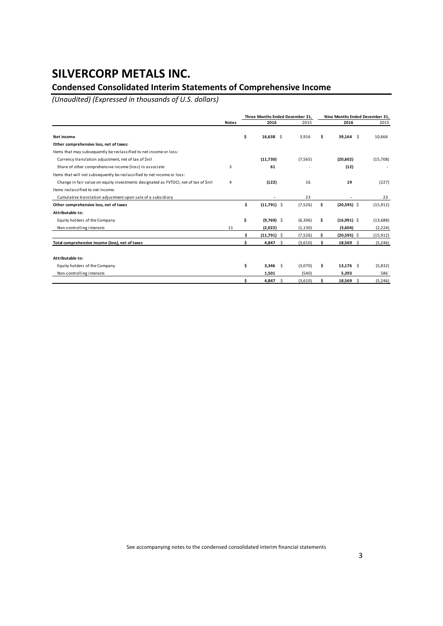### **Condensed Consolidated Interim Statements of Comprehensive Income**

*(Unaudited) (Expressed in thousands of U.S. dollars)*

|                                                                                      |              |    | Three Months Ended December 31, |          |     | Nine Months Ended December 31, |           |
|--------------------------------------------------------------------------------------|--------------|----|---------------------------------|----------|-----|--------------------------------|-----------|
|                                                                                      | <b>Notes</b> |    | 2016                            | 2015     |     | 2016                           | 2015      |
| Net income                                                                           |              | \$ | $16,638$ \$                     | 3,916    | \$. | $39,164$ \$                    | 10,666    |
| Other comprehensive loss, net of taxes:                                              |              |    |                                 |          |     |                                |           |
| Items that may subsequently be reclassified to net income or loss:                   |              |    |                                 |          |     |                                |           |
| Currency translation adjustment, net of tax of \$nil                                 |              |    | (11,730)                        | (7, 565) |     | (20, 602)                      | (15,708)  |
| Share of other comprehensive income (loss) in associate                              | 3            |    | 61                              |          |     | (12)                           |           |
| Items that will not subsequently be reclassified to net income or loss:              |              |    |                                 |          |     |                                |           |
| Change in fair value on equity investments designated as FVTOCI, net of tax of \$nil | 4            |    | (122)                           | 16       |     | 19                             | (227)     |
| Items reclassified to net income:                                                    |              |    |                                 |          |     |                                |           |
| Cumulative translation adjustment upon sale of a subsidiary                          |              |    |                                 | 23       |     |                                | 23        |
| Other comprehensive loss, net of taxes                                               |              | \$ | $(11,791)$ \$                   | (7,526)  | \$  | $(20,595)$ \$                  | (15, 912) |
| Attributable to:                                                                     |              |    |                                 |          |     |                                |           |
| Equity holders of the Company                                                        |              | \$ | $(9,769)$ \$                    | (6, 396) | \$. | $(16,991)$ \$                  | (13, 688) |
| Non-controlling interests                                                            | 11           |    | (2,022)                         | (1, 130) |     | (3,604)                        | (2, 224)  |
|                                                                                      |              |    | $(11,791)$ \$                   | (7,526)  |     | $(20, 595)$ \$                 | (15, 912) |
| Total comprehensive income (loss), net of taxes                                      |              |    | 4,847<br>-\$                    | (3,610)  |     | $18,569$ \$                    | (5,246)   |
|                                                                                      |              |    |                                 |          |     |                                |           |
| Attributable to:                                                                     |              |    |                                 |          |     |                                |           |
| Equity holders of the Company                                                        |              | \$ | $3,346$ \$                      | (3,070)  | \$. | $13,176$ \$                    | (5,832)   |
| Non-controlling interests                                                            |              |    | 1.501                           | (540)    |     | 5,393                          | 586       |
|                                                                                      |              | Ś  | 4,847<br>-\$                    | (3,610)  | s   | 18,569 \$                      | (5,246)   |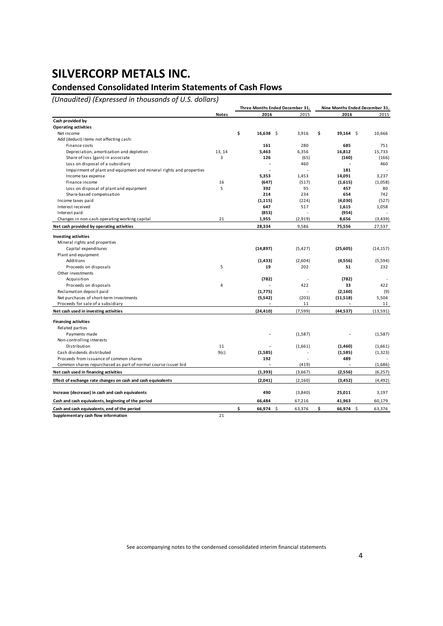### **Condensed Consolidated Interim Statements of Cash Flows**

*(Unaudited) (Expressed in thousands of U.S. dollars)*

|                                                                     |              |    | Three Months Ended December 31, |                | Nine Months Ended December 31, |           |  |
|---------------------------------------------------------------------|--------------|----|---------------------------------|----------------|--------------------------------|-----------|--|
|                                                                     | <b>Notes</b> |    | 2016                            | 2015           | 2016                           | 2015      |  |
| Cash provided by                                                    |              |    |                                 |                |                                |           |  |
| <b>Operating activities</b>                                         |              |    |                                 |                |                                |           |  |
| Net income                                                          |              | \$ | $16,638$ \$                     | 3,916          | \$<br>$39,164$ \$              | 10,666    |  |
| Add (deduct) items not affecting cash:                              |              |    |                                 |                |                                |           |  |
| Finance costs                                                       |              |    | 161                             | 280            | 685                            | 751       |  |
| Depreciation, amortization and depletion                            | 13, 14       |    | 5,463                           | 6,356          | 16,812                         | 15,733    |  |
| Share of loss (gain) in associate                                   | 3            |    | 126                             | (65)           | (160)                          | (166)     |  |
| Loss on disposal of a subsidiary                                    |              |    |                                 | 460            |                                | 460       |  |
| Impairment of plant and equipment and mineral rights and properties |              |    | J.                              |                | 181                            |           |  |
| Income tax expense                                                  |              |    | 5,353                           | 1,453          | 14,091                         | 3.237     |  |
| Finance income                                                      | 16           |    | (647)                           | (517)          | (1,615)                        | (1,058)   |  |
| Loss on disposal of plant and equipment                             | 5            |    | 392                             | 95             | 457                            | 80        |  |
| Share-based compensation                                            |              |    | 214                             | 234            | 654                            | 742       |  |
| Income taxes paid                                                   |              |    | (1, 115)                        | (224)          | (4,030)                        | (527)     |  |
| Interest received                                                   |              |    | 647                             | 517            | 1,615                          | 1,058     |  |
| Interest paid                                                       |              |    | (853)                           |                | (954)                          |           |  |
| Changes in non-cash operating working capital                       | 21           |    | 1,955                           | (2,919)        | 8,656                          | (3, 439)  |  |
| Net cash provided by operating activities                           |              |    | 28,334                          | 9,586          | 75,556                         | 27,537    |  |
| <b>Investing activities</b>                                         |              |    |                                 |                |                                |           |  |
| Mineral rights and properties                                       |              |    |                                 |                |                                |           |  |
| Capital expenditures                                                |              |    | (14, 897)                       | (5, 427)       | (25, 605)                      | (14, 157) |  |
| Plant and equipment                                                 |              |    |                                 |                |                                |           |  |
| Additions                                                           |              |    | (1, 433)                        | (2,604)        | (4,556)                        | (5,594)   |  |
| Proceeds on disposals                                               | 5            |    | 19                              | 202            | 51                             | 232       |  |
| Other investments                                                   |              |    |                                 |                |                                |           |  |
| Acquisition                                                         |              |    | (782)                           | $\overline{a}$ | (782)                          |           |  |
| Proceeds on disposals                                               | 4            |    |                                 | 422            | 33                             | 422       |  |
| Reclamation deposit paid                                            |              |    | (1,775)                         | L.             | (2, 160)                       | (9)       |  |
| Net purchases of short-term investments                             |              |    | (5, 542)                        | (203)          | (11,518)                       | 5,504     |  |
| Proceeds for sale of a subsidiary                                   |              |    |                                 | 11             |                                | 11        |  |
| Net cash used in investing activities                               |              |    | (24, 410)                       | (7, 599)       | (44, 537)                      | (13,591)  |  |
| <b>Financing activities</b>                                         |              |    |                                 |                |                                |           |  |
| Related parties                                                     |              |    |                                 |                |                                |           |  |
| Payments made                                                       |              |    |                                 | (1,587)        |                                | (1,587)   |  |
| Non-controlling interests                                           |              |    |                                 |                |                                |           |  |
| Distribution                                                        | 11           |    |                                 | (1,661)        | (1,460)                        | (1,661)   |  |
| Cash dividends distributed                                          | 9(c)         |    | (1,585)                         |                | (1,585)                        | (1, 323)  |  |
| Proceeds from issuance of common shares                             |              |    | 192                             |                | 489                            |           |  |
| Common shares repurchased as part of normal course issuer bid       |              |    |                                 | (419)          |                                | (1,686)   |  |
| Net cash used in financing activities                               |              |    | (1,393)                         | (3,667)        | (2,556)                        | (6, 257)  |  |
|                                                                     |              |    |                                 |                |                                |           |  |
| Effect of exchange rate changes on cash and cash equivalents        |              |    | (2,041)                         | (2, 160)       | (3, 452)                       | (4, 492)  |  |
| Increase (decrease) in cash and cash equivalents                    |              |    | 490                             | (3,840)        | 25,011                         | 3,197     |  |
| Cash and cash equivalents, beginning of the period                  |              |    | 66,484                          | 67,216         | 41,963                         | 60,179    |  |
| Cash and cash equivalents, end of the period                        |              | Ś  | 66,974 \$                       | 63,376         | \$<br>66,974 \$                | 63,376    |  |
| Supplementary cash flow information                                 | 21           |    |                                 |                |                                |           |  |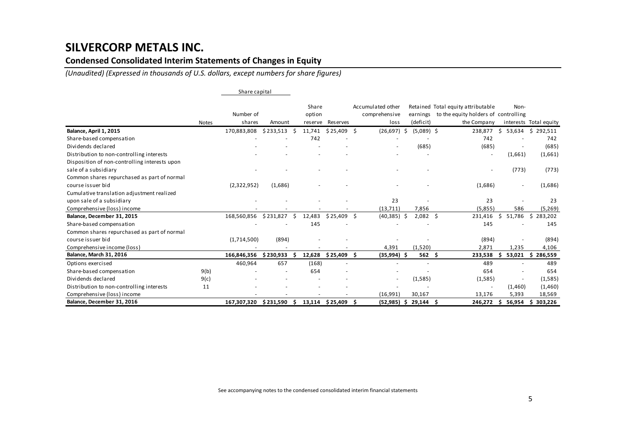### **Condensed Consolidated Interim Statements of Changes in Equity**

*(Unaudited) (Expressed in thousands of U.S. dollars, except numbers for share figures)*

|                                               |              | Share capital |            |    |                 |                    |    |                                    |     |                  |                                                                            |    |         |                        |
|-----------------------------------------------|--------------|---------------|------------|----|-----------------|--------------------|----|------------------------------------|-----|------------------|----------------------------------------------------------------------------|----|---------|------------------------|
|                                               |              | Number of     |            |    | Share<br>option |                    |    | Accumulated other<br>comprehensive |     | earnings         | Retained Total equity attributable<br>to the equity holders of controlling |    | Non-    |                        |
|                                               | <b>Notes</b> | shares        | Amount     |    | reserve         | Reserves           |    | loss                               |     | (deficit)        | the Company                                                                |    |         | interests Total equity |
| Balance, April 1, 2015                        |              | 170,883,808   | \$233,513  | Ŝ. | 11,741          | $$25,409$ \$       |    | $(26,697)$ \$                      |     | $(5,089)$ \$     | 238,877                                                                    | \$ | 53,634  | \$292,511              |
| Share-based compensation                      |              |               |            |    | 742             |                    |    |                                    |     |                  | 742                                                                        |    |         | 742                    |
| Dividends declared                            |              |               |            |    |                 |                    |    |                                    |     | (685)            | (685)                                                                      |    |         | (685)                  |
| Distribution to non-controlling interests     |              |               |            |    |                 |                    |    |                                    |     |                  |                                                                            |    | (1,661) | (1,661)                |
| Disposition of non-controlling interests upon |              |               |            |    |                 |                    |    |                                    |     |                  |                                                                            |    |         |                        |
| sale of a subsidiary                          |              |               |            |    |                 |                    |    |                                    |     |                  |                                                                            |    | (773)   | (773)                  |
| Common shares repurchased as part of normal   |              |               |            |    |                 |                    |    |                                    |     |                  |                                                                            |    |         |                        |
| course issuer bid                             |              | (2,322,952)   | (1,686)    |    |                 |                    |    |                                    |     |                  | (1,686)                                                                    |    |         | (1,686)                |
| Cumulative translation adjustment realized    |              |               |            |    |                 |                    |    |                                    |     |                  |                                                                            |    |         |                        |
| upon sale of a subsidiary                     |              |               |            |    |                 |                    |    | 23                                 |     |                  | 23                                                                         |    |         | 23                     |
| Comprehensive (loss) income                   |              |               |            |    |                 |                    |    | (13, 711)                          |     | 7,856            | (5,855)                                                                    |    | 586     | (5,269)                |
| Balance, December 31, 2015                    |              | 168,560,856   | \$231,827  | Ŝ. | 12,483          | \$25,409           | Ŝ. | (40, 385)                          | -\$ | $2,082 \quad$ \$ | 231,416                                                                    | Ŝ. | 51,786  | \$283,202              |
| Share-based compensation                      |              |               |            |    | 145             |                    |    |                                    |     |                  | 145                                                                        |    |         | 145                    |
| Common shares repurchased as part of normal   |              |               |            |    |                 |                    |    |                                    |     |                  |                                                                            |    |         |                        |
| course issuer bid                             |              | (1,714,500)   | (894)      |    |                 |                    |    |                                    |     |                  | (894)                                                                      |    |         | (894)                  |
| Comprehensive income (loss)                   |              |               |            |    |                 |                    |    | 4,391                              |     | (1,520)          | 2,871                                                                      |    | 1,235   | 4,106                  |
| Balance, March 31, 2016                       |              | 166,846,356   | \$230,933  |    | 12,628          | $$25,409$ \$       |    | (35,994) \$                        |     | 562 <sub>5</sub> | 233,538                                                                    |    |         | 53,021 \$ 286,559      |
| Options exercised                             |              | 460,964       | 657        |    | (168)           |                    |    |                                    |     |                  | 489                                                                        |    |         | 489                    |
| Share-based compensation                      | 9(b)         |               |            |    | 654             |                    |    |                                    |     |                  | 654                                                                        |    |         | 654                    |
| Dividends declared                            | 9(c)         |               |            |    |                 |                    |    |                                    |     | (1,585)          | (1,585)                                                                    |    |         | (1,585)                |
| Distribution to non-controlling interests     | 11           |               |            |    |                 |                    |    |                                    |     |                  |                                                                            |    | (1,460) | (1,460)                |
| Comprehensive (loss) income                   |              |               |            |    |                 |                    |    | (16,991)                           |     | 30,167           | 13,176                                                                     |    | 5.393   | 18,569                 |
| Balance, December 31, 2016                    |              | 167,307,320   | \$ 231,590 | Ŝ  |                 | 13,114 \$25,409 \$ |    | $(52,985)$ \$                      |     | 29,144 \$        | 246,272 \$                                                                 |    | 56,954  | 303,226<br>Ś.          |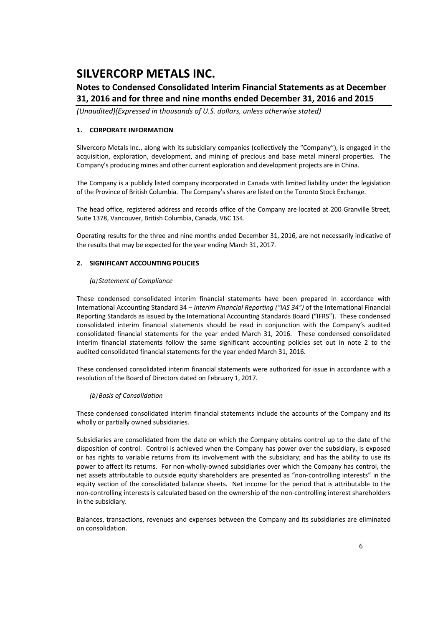### **Notes to Condensed Consolidated Interim Financial Statements as at December 31, 2016 and for three and nine months ended December 31, 2016 and 2015**

*(Unaudited)(Expressed in thousands of U.S. dollars, unless otherwise stated)*

#### **1. CORPORATE INFORMATION**

Silvercorp Metals Inc., along with its subsidiary companies (collectively the "Company"), is engaged in the acquisition, exploration, development, and mining of precious and base metal mineral properties. The Company's producing mines and other current exploration and development projects are in China.

The Company is a publicly listed company incorporated in Canada with limited liability under the legislation of the Province of British Columbia. The Company's shares are listed on the Toronto Stock Exchange.

The head office, registered address and records office of the Company are located at 200 Granville Street, Suite 1378, Vancouver, British Columbia, Canada, V6C 1S4.

Operating results for the three and nine months ended December 31, 2016, are not necessarily indicative of the results that may be expected for the year ending March 31, 2017.

#### **2. SIGNIFICANT ACCOUNTING POLICIES**

#### *(a) Statement of Compliance*

These condensed consolidated interim financial statements have been prepared in accordance with International Accounting Standard 34 – *Interim Financial Reporting ("IAS 34")* of the International Financial Reporting Standards as issued by the International Accounting Standards Board ("IFRS"). These condensed consolidated interim financial statements should be read in conjunction with the Company's audited consolidated financial statements for the year ended March 31, 2016. These condensed consolidated interim financial statements follow the same significant accounting policies set out in note 2 to the audited consolidated financial statements for the year ended March 31, 2016.

These condensed consolidated interim financial statements were authorized for issue in accordance with a resolution of the Board of Directors dated on February 1, 2017.

#### *(b)Basis of Consolidation*

These condensed consolidated interim financial statements include the accounts of the Company and its wholly or partially owned subsidiaries.

Subsidiaries are consolidated from the date on which the Company obtains control up to the date of the disposition of control. Control is achieved when the Company has power over the subsidiary, is exposed or has rights to variable returns from its involvement with the subsidiary; and has the ability to use its power to affect its returns. For non-wholly-owned subsidiaries over which the Company has control, the net assets attributable to outside equity shareholders are presented as "non-controlling interests" in the equity section of the consolidated balance sheets. Net income for the period that is attributable to the non-controlling interests is calculated based on the ownership of the non-controlling interest shareholders in the subsidiary.

Balances, transactions, revenues and expenses between the Company and its subsidiaries are eliminated on consolidation.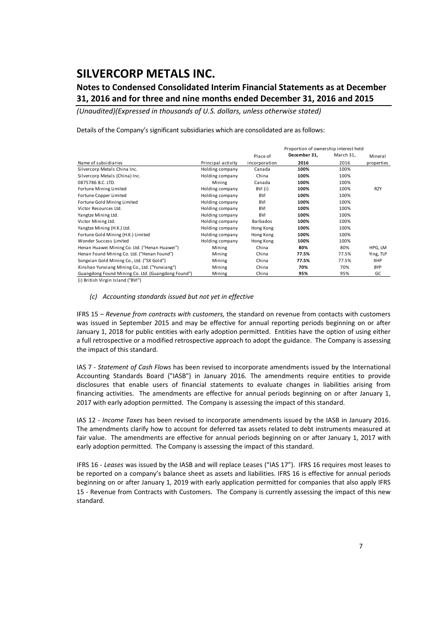### **Notes to Condensed Consolidated Interim Financial Statements as at December 31, 2016 and for three and nine months ended December 31, 2016 and 2015**

*(Unaudited)(Expressed in thousands of U.S. dollars, unless otherwise stated)*

Details of the Company's significant subsidiaries which are consolidated are as follows:

|                                                    |                    | Proportion of ownership interest held |              |           |            |  |  |
|----------------------------------------------------|--------------------|---------------------------------------|--------------|-----------|------------|--|--|
|                                                    |                    | Place of                              | December 31, | March 31, | Mineral    |  |  |
| Name of subsidiaries                               | Principal activity | incorporation                         | 2016         | 2016      | properties |  |  |
| Silvercorp Metals China Inc.                       | Holding company    | Canada                                | 100%         | 100%      |            |  |  |
| Silvercorp Metals (China) Inc.                     | Holding company    | China                                 | 100%         | 100%      |            |  |  |
| 0875786 B.C. LTD.                                  | Mining             | Canada                                | 100%         | 100%      |            |  |  |
| Fortune Mining Limited                             | Holding company    | BVI (i)                               | 100%         | 100%      | <b>RZY</b> |  |  |
| Fortune Copper Limited                             | Holding company    | <b>BVI</b>                            | 100%         | 100%      |            |  |  |
| Fortune Gold Mining Limited                        | Holding company    | <b>BVI</b>                            | 100%         | 100%      |            |  |  |
| Victor Resources Ltd.                              | Holding company    | <b>BVI</b>                            | 100%         | 100%      |            |  |  |
| Yangtze Mining Ltd.                                | Holding company    | <b>BVI</b>                            | 100%         | 100%      |            |  |  |
| Victor Mining Ltd.                                 | Holding company    | Barbados                              | 100%         | 100%      |            |  |  |
| Yangtze Mining (H.K.) Ltd.                         | Holding company    | Hong Kong                             | 100%         | 100%      |            |  |  |
| Fortune Gold Mining (H.K.) Limited                 | Holding company    | Hong Kong                             | 100%         | 100%      |            |  |  |
| Wonder Success Limited                             | Holding company    | Hong Kong                             | 100%         | 100%      |            |  |  |
| Henan Huawei Mining Co. Ltd. ("Henan Huawei")      | Mining             | China                                 | 80%          | 80%       | HPG, LM    |  |  |
| Henan Found Mining Co. Ltd. ("Henan Found")        | Mining             | China                                 | 77.5%        | 77.5%     | Ying, TLP  |  |  |
| Songxian Gold Mining Co., Ltd. ("SX Gold")         | Mining             | China                                 | 77.5%        | 77.5%     | XHP        |  |  |
| Xinshao Yunxiang Mining Co., Ltd. ("Yunxiang")     | Mining             | China                                 | 70%          | 70%       | <b>BYP</b> |  |  |
| Guangdong Found Mining Co. Ltd. (Guangdong Found") | Mining             | China                                 | 95%          | 95%       | GC         |  |  |

(i ) British Virgin Island ("BVI")

#### *(c) Accounting standards issued but not yet in effective*

IFRS 15 – *Revenue from contracts with customers,* the standard on revenue from contacts with customers was issued in September 2015 and may be effective for annual reporting periods beginning on or after January 1, 2018 for public entities with early adoption permitted. Entities have the option of using either a full retrospective or a modified retrospective approach to adopt the guidance. The Company is assessing the impact of this standard.

IAS 7 ‐ *Statement of Cash Flows* has been revised to incorporate amendments issued by the International Accounting Standards Board ("IASB") in January 2016. The amendments require entities to provide disclosures that enable users of financial statements to evaluate changes in liabilities arising from financing activities. The amendments are effective for annual periods beginning on or after January 1, 2017 with early adoption permitted. The Company is assessing the impact of this standard.

IAS 12 ‐ *Income Taxes* has been revised to incorporate amendments issued by the IASB in January 2016. The amendments clarify how to account for deferred tax assets related to debt instruments measured at fair value. The amendments are effective for annual periods beginning on or after January 1, 2017 with early adoption permitted. The Company is assessing the impact of this standard.

IFRS 16 ‐ *Leases* was issued by the IASB and will replace Leases ("IAS 17"). IFRS 16 requires most leases to be reported on a company's balance sheet as assets and liabilities. IFRS 16 is effective for annual periods beginning on or after January 1, 2019 with early application permitted for companies that also apply IFRS 15 - Revenue from Contracts with Customers. The Company is currently assessing the impact of this new standard.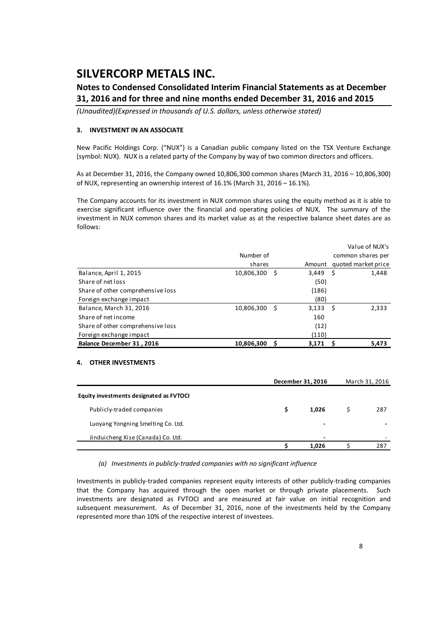### **Notes to Condensed Consolidated Interim Financial Statements as at December 31, 2016 and for three and nine months ended December 31, 2016 and 2015**

*(Unaudited)(Expressed in thousands of U.S. dollars, unless otherwise stated)*

#### **3. INVESTMENT IN AN ASSOCIATE**

New Pacific Holdings Corp. ("NUX") is a Canadian public company listed on the TSX Venture Exchange (symbol: NUX). NUX is a related party of the Company by way of two common directors and officers.

As at December 31, 2016, the Company owned 10,806,300 common shares (March 31, 2016 – 10,806,300) of NUX, representing an ownership interest of 16.1% (March 31, 2016 – 16.1%).

The Company accounts for its investment in NUX common shares using the equity method as it is able to exercise significant influence over the financial and operating policies of NUX. The summary of the investment in NUX common shares and its market value as at the respective balance sheet dates are as follows:

|                                   |            |   |            | Value of NUX's      |
|-----------------------------------|------------|---|------------|---------------------|
|                                   | Number of  |   |            | common shares per   |
|                                   | shares     |   | Amount     | quoted market price |
| Balance, April 1, 2015            | 10,806,300 | S | $3,449$ \$ | 1,448               |
| Share of net loss                 |            |   | (50)       |                     |
| Share of other comprehensive loss |            |   | (186)      |                     |
| Foreign exchange impact           |            |   | (80)       |                     |
| Balance, March 31, 2016           | 10,806,300 | S | $3,133$ \$ | 2,333               |
| Share of net income               |            |   | 160        |                     |
| Share of other comprehensive loss |            |   | (12)       |                     |
| Foreign exchange impact           |            |   | (110)      |                     |
| Balance December 31, 2016         | 10,806,300 |   | 3,171      | 5,473               |

#### **4. OTHER INVESTMENTS**

|                                         |   | December 31, 2016        |  |     |  |  |  |
|-----------------------------------------|---|--------------------------|--|-----|--|--|--|
| Equity investments designated as FVTOCI |   |                          |  |     |  |  |  |
| Publicly-traded companies               | s | 1.026                    |  | 287 |  |  |  |
| Luoyang Yongning Smelting Co. Ltd.      |   | -                        |  |     |  |  |  |
| Jinduicheng Xise (Canada) Co. Ltd.      |   | $\overline{\phantom{0}}$ |  |     |  |  |  |
|                                         |   | 1,026                    |  | 287 |  |  |  |

*(a) Investments in publicly‐traded companies with no significant influence*

Investments in publicly‐traded companies represent equity interests of other publicly‐trading companies that the Company has acquired through the open market or through private placements. Such investments are designated as FVTOCI and are measured at fair value on initial recognition and subsequent measurement. As of December 31, 2016, none of the investments held by the Company represented more than 10% of the respective interest of investees.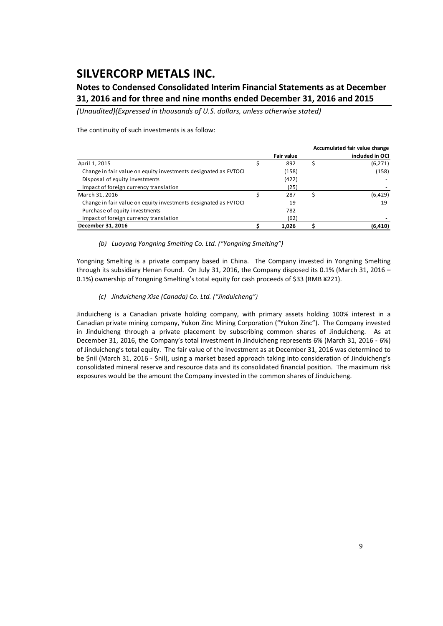### **Notes to Condensed Consolidated Interim Financial Statements as at December 31, 2016 and for three and nine months ended December 31, 2016 and 2015**

*(Unaudited)(Expressed in thousands of U.S. dollars, unless otherwise stated)*

The continuity of such investments is as follow:

|                                                                 |                   |    | Accumulated fair value change |
|-----------------------------------------------------------------|-------------------|----|-------------------------------|
|                                                                 | <b>Fair value</b> |    | included in OCI               |
| April 1, 2015                                                   | 892               | \$ | (6,271)                       |
| Change in fair value on equity investments designated as FVTOCI | (158)             |    | (158)                         |
| Disposal of equity investments                                  | (422)             |    |                               |
| Impact of foreign currency translation                          | (25)              |    |                               |
| March 31, 2016                                                  | 287               | Ś  | (6,429)                       |
| Change in fair value on equity investments designated as FVTOCI | 19                |    | 19                            |
| Purchase of equity investments                                  | 782               |    |                               |
| Impact of foreign currency translation                          | (62)              |    |                               |
| December 31, 2016                                               | 1.026             |    | (6, 410)                      |

#### *(b) Luoyang Yongning Smelting Co. Ltd. ("Yongning Smelting")*

Yongning Smelting is a private company based in China. The Company invested in Yongning Smelting through its subsidiary Henan Found. On July 31, 2016, the Company disposed its 0.1% (March 31, 2016 – 0.1%) ownership of Yongning Smelting's total equity for cash proceeds of \$33 (RMB ¥221).

#### *(c) Jinduicheng Xise (Canada) Co. Ltd. ("Jinduicheng")*

Jinduicheng is a Canadian private holding company, with primary assets holding 100% interest in a Canadian private mining company, Yukon Zinc Mining Corporation ("Yukon Zinc"). The Company invested in Jinduicheng through a private placement by subscribing common shares of Jinduicheng. As at December 31, 2016, the Company's total investment in Jinduicheng represents 6% (March 31, 2016 ‐ 6%) of Jinduicheng's total equity. The fair value of the investment as at December 31, 2016 was determined to be \$nil (March 31, 2016 ‐ \$nil), using a market based approach taking into consideration of Jinduicheng's consolidated mineral reserve and resource data and its consolidated financial position. The maximum risk exposures would be the amount the Company invested in the common shares of Jinduicheng.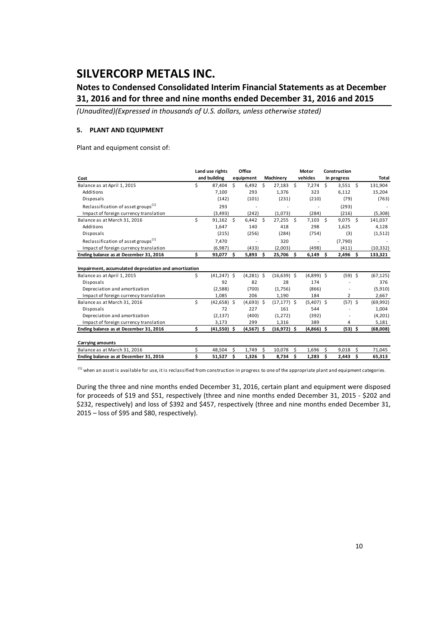### **Notes to Condensed Consolidated Interim Financial Statements as at December 31, 2016 and for three and nine months ended December 31, 2016 and 2015**

*(Unaudited)(Expressed in thousands of U.S. dollars, unless otherwise stated)*

#### **5. PLANT AND EQUIPMENT**

Plant and equipment consist of:

|                                                       |    | Land use rights |    | Office       |      |                |    | Motor        | Construction |                |     |              |
|-------------------------------------------------------|----|-----------------|----|--------------|------|----------------|----|--------------|--------------|----------------|-----|--------------|
| Cost                                                  |    | and building    |    | equipment    |      | Machinery      |    | vehicles     |              | in progress    |     | <b>Total</b> |
| Balance as at April 1, 2015                           | \$ | 87.404          | Ŝ. | 6.492        | Ŝ    | $27,183$ \$    |    | 7,274        | Ś.           | 3,551          | Ŝ.  | 131,904      |
| Additions                                             |    | 7,100           |    | 293          |      | 1,376          |    | 323          |              | 6,112          |     | 15,204       |
| Disposals                                             |    | (142)           |    | (101)        |      | (231)          |    | (210)        |              | (79)           |     | (763)        |
| Reclassification of asset groups <sup>(1)</sup>       |    | 293             |    |              |      |                |    |              |              | (293)          |     |              |
| Impact of foreign currency translation                |    | (3, 493)        |    | (242)        |      | (1,073)        |    | (284)        |              | (216)          |     | (5,308)      |
| Balance as at March 31, 2016                          | \$ | 91,162          | Ŝ. | 6,442        | - \$ | $27,255$ \$    |    | 7,103        | \$           | $9,075$ \$     |     | 141,037      |
| Additions                                             |    | 1,647           |    | 140          |      | 418            |    | 298          |              | 1,625          |     | 4,128        |
| Disposals                                             |    | (215)           |    | (256)        |      | (284)          |    | (754)        |              | (3)            |     | (1,512)      |
| Reclassification of asset groups <sup>(1)</sup>       |    | 7.470           |    |              |      | 320            |    |              |              | (7,790)        |     |              |
| Impact of foreign currency translation                |    | (6,987)         |    | (433)        |      | (2,003)        |    | (498)        |              | (411)          |     | (10, 332)    |
| Ending balance as at December 31, 2016                | \$ | 93,077          | Ŝ. | 5,893        | \$.  | 25,706 \$      |    | 6,149        | \$.          | 2,496          | \$. | 133,321      |
| Impairment, accumulated depreciation and amortization |    |                 |    |              |      |                |    |              |              |                |     |              |
| Balance as at April 1, 2015                           | \$ | $(41, 247)$ \$  |    | $(4,281)$ \$ |      | $(16, 639)$ \$ |    | $(4,899)$ \$ |              | $(59)$ \$      |     | (67, 125)    |
| Disposals                                             |    | 92              |    | 82           |      | 28             |    | 174          |              |                |     | 376          |
| Depreciation and amortization                         |    | (2,588)         |    | (700)        |      | (1,756)        |    | (866)        |              |                |     | (5,910)      |
| Impact of foreign currency translation                |    | 1,085           |    | 206          |      | 1,190          |    | 184          |              | $\overline{2}$ |     | 2,667        |
| Balance as at March 31, 2016                          | \$ | $(42, 658)$ \$  |    | $(4,693)$ \$ |      | $(17, 177)$ \$ |    | $(5,407)$ \$ |              | $(57)$ \$      |     | (69, 992)    |
| Disposals                                             |    | 72              |    | 227          |      | 161            |    | 544          |              |                |     | 1,004        |
| Depreciation and amortization                         |    | (2, 137)        |    | (400)        |      | (1,272)        |    | (392)        |              |                |     | (4,201)      |
| Impact of foreign currency translation                |    | 3,173           |    | 299          |      | 1,316          |    | 389          |              | 4              |     | 5,181        |
| Ending balance as at December 31, 2016                | Ś  | $(41,550)$ \$   |    | (4,567) \$   |      | $(16, 972)$ \$ |    | $(4,866)$ \$ |              | $(53)$ \$      |     | (68,008)     |
| <b>Carrying amounts</b>                               |    |                 |    |              |      |                |    |              |              |                |     |              |
| Balance as at March 31, 2016                          | Ś  | 48,504          | Ś  | 1.749        | Ś    | 10,078         | Ś. | 1,696        | \$           | 9,018          | Ś.  | 71,045       |
| Ending balance as at December 31, 2016                | Ś  | 51,527          | Ś  | 1,326        | Ś    | 8,734          | \$ | 1,283        | \$           | 2,443          | \$  | 65,313       |
|                                                       |    |                 |    |              |      |                |    |              |              |                |     |              |

 $^{(1)}$  when an asset is available for use, it is reclassified from construction in progress to one of the appropriate plant and equipment categories.

During the three and nine months ended December 31, 2016, certain plant and equipment were disposed for proceeds of \$19 and \$51, respectively (three and nine months ended December 31, 2015 ‐ \$202 and \$232, respectively) and loss of \$392 and \$457, respectively (three and nine months ended December 31, 2015 – loss of \$95 and \$80, respectively).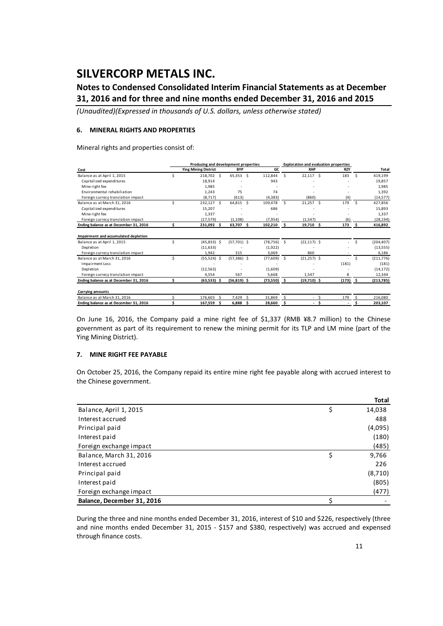### **Notes to Condensed Consolidated Interim Financial Statements as at December 31, 2016 and for three and nine months ended December 31, 2016 and 2015**

*(Unaudited)(Expressed in thousands of U.S. dollars, unless otherwise stated)*

#### **6. MINERAL RIGHTS AND PROPERTIES**

Mineral rights and properties consist of:

|                                        |    | Producing and development properties |    |               |    |           |                     |                |      | <b>Exploration and evaluation properties</b> |     |            |
|----------------------------------------|----|--------------------------------------|----|---------------|----|-----------|---------------------|----------------|------|----------------------------------------------|-----|------------|
| Cost                                   |    | <b>Ying Mining District</b>          |    | <b>BYP</b>    |    | <b>GC</b> |                     | XHP            |      | <b>RZY</b>                                   |     | Total      |
| Balance as at April 1, 2015            |    | 218,702 \$                           |    | $65,353$ \$   |    | 112.844   | Š.                  | 22,117         | -Ś   | 183                                          | \$. | 419,199    |
| Capitalized expenditures               |    | 18,914                               |    |               |    | 943       |                     |                |      |                                              |     | 19,857     |
| Mine right fee                         |    | 1,985                                |    |               |    |           |                     |                |      |                                              |     | 1,985      |
| Environmental rehabiliation            |    | 1,243                                |    | 75            |    | 74        |                     |                |      |                                              |     | 1,392      |
| Foreign currecy translation impact     |    | (8.717)                              |    | (613)         |    | (4, 383)  |                     | (860)          |      | (4)                                          |     | (14, 577)  |
| Balance as at March 31, 2016           | Ś  | 232,127 \$                           |    | 64,815 \$     |    | 109,478   | Ŝ.                  | $21,257$ \$    |      | 179                                          | Ŝ.  | 427,856    |
| Capitalized expenditures               |    | 15,207                               |    |               |    | 686       |                     |                |      |                                              |     | 15,893     |
| Mine right fee                         |    | 1,337                                |    |               |    |           |                     |                |      |                                              |     | 1,337      |
| Foreign currecy translation impact     |    | (17, 579)                            |    | (1.108)       |    | (7, 954)  |                     | (1.547)        |      | (6)                                          |     | (28, 194)  |
| Ending balance as at December 31, 2016 | Ś. | 231,092 \$                           |    | 63,707 \$     |    | 102,210   | $\ddot{\mathsf{s}}$ | 19,710 \$      |      | 173                                          | -\$ | 416,892    |
|                                        |    |                                      |    |               |    |           |                     |                |      |                                              |     |            |
| Impairment and accumulated depletion   |    |                                      |    |               |    |           |                     |                |      |                                              |     |            |
| Balance as at April 1, 2015            | Ś  | $(45,833)$ \$                        |    | $(57,701)$ \$ |    | (78, 756) | $\mathsf{S}$        | $(22, 117)$ \$ |      |                                              | \$  | (204, 407) |
| Depletion                              |    | (11, 633)                            |    |               |    | (1,922)   |                     |                |      |                                              |     | (13, 555)  |
| Foreign currecy translation impact     |    | 1,942                                |    | 315           |    | 3,069     |                     | 860            |      |                                              |     | 6,186      |
| Balance as at March 31, 2016           | Ś. | $(55,524)$ \$                        |    | $(57,386)$ \$ |    | (77, 609) | -Ś                  | $(21, 257)$ \$ |      |                                              | \$  | (211, 776) |
| <b>Impairment Loss</b>                 |    |                                      |    |               |    |           |                     |                |      | (181)                                        |     | (181)      |
| Depletion                              |    | (12, 563)                            |    |               |    | (1,609)   |                     |                |      |                                              |     | (14, 172)  |
| Foreign currecy translation impact     |    | 4.554                                |    | 567           |    | 5,668     |                     | 1.547          |      | 8                                            |     | 12,344     |
| Ending balance as at December 31, 2016 | Ś  | $(63,533)$ \$                        |    | $(56,819)$ \$ |    | (73,550)  | - \$                | $(19,710)$ \$  |      | $(173)$ \$                                   |     | (213, 785) |
| Carrying amounts                       |    |                                      |    |               |    |           |                     |                |      |                                              |     |            |
| Balance as at March 31, 2016           | ς. | 176.603                              | Ŝ. | 7,429         | Š. | 31.869    | -Ś                  |                | - \$ | 179                                          | Ŝ   | 216,080    |
| Ending balance as at December 31, 2016 | Ś  | 167,559                              | Ŝ  | 6.888         | Ŝ  | 28.660    | \$                  | $\sim$         | Ś.   |                                              |     | 203,107    |

On June 16, 2016, the Company paid a mine right fee of \$1,337 (RMB ¥8.7 million) to the Chinese government as part of its requirement to renew the mining permit for its TLP and LM mine (part of the Ying Mining District).

#### **7. MINE RIGHT FEE PAYABLE**

On October 25, 2016, the Company repaid its entire mine right fee payable along with accrued interest to the Chinese government.

|                            | <b>Total</b> |
|----------------------------|--------------|
| Balance, April 1, 2015     | \$<br>14,038 |
| Interest accrued           | 488          |
| Principal paid             | (4,095)      |
| Interest paid              | (180)        |
| Foreign exchange impact    | (485)        |
| Balance, March 31, 2016    | \$<br>9,766  |
| Interest accrued           | 226          |
| Principal paid             | (8,710)      |
| Interest paid              | (805)        |
| Foreign exchange impact    | (477)        |
| Balance, December 31, 2016 |              |

During the three and nine months ended December 31, 2016, interest of \$10 and \$226, respectively (three and nine months ended December 31, 2015 - \$157 and \$380, respectively) was accrued and expensed through finance costs.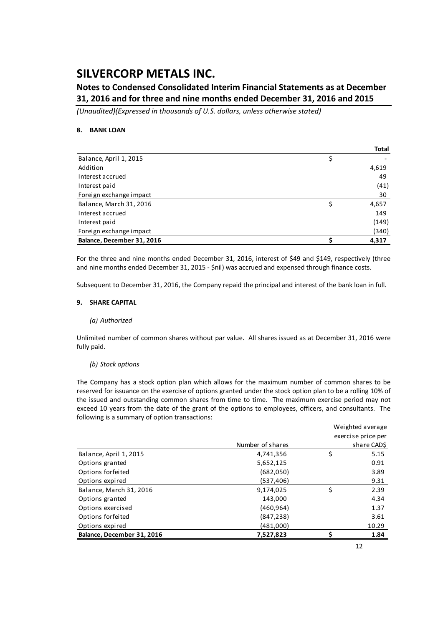### **Notes to Condensed Consolidated Interim Financial Statements as at December 31, 2016 and for three and nine months ended December 31, 2016 and 2015**

*(Unaudited)(Expressed in thousands of U.S. dollars, unless otherwise stated)*

#### **8. BANK LOAN**

|                            | Total |
|----------------------------|-------|
| Balance, April 1, 2015     | \$    |
| Addition                   | 4,619 |
| Interest accrued           | 49    |
| Interest paid              | (41)  |
| Foreign exchange impact    | 30    |
| Balance, March 31, 2016    | 4,657 |
| Interest accrued           | 149   |
| Interest paid              | (149) |
| Foreign exchange impact    | (340) |
| Balance, December 31, 2016 | 4,317 |

For the three and nine months ended December 31, 2016, interest of \$49 and \$149, respectively (three and nine months ended December 31, 2015 - \$nil) was accrued and expensed through finance costs.

Subsequent to December 31, 2016, the Company repaid the principal and interest of the bank loan in full.

#### **9. SHARE CAPITAL**

#### *(a) Authorized*

Unlimited number of common shares without par value. All shares issued as at December 31, 2016 were fully paid.

#### *(b) Stock options*

The Company has a stock option plan which allows for the maximum number of common shares to be reserved for issuance on the exercise of options granted under the stock option plan to be a rolling 10% of the issued and outstanding common shares from time to time. The maximum exercise period may not exceed 10 years from the date of the grant of the options to employees, officers, and consultants. The following is a summary of option transactions:

|                            |                  |    | Weighted average   |
|----------------------------|------------------|----|--------------------|
|                            |                  |    | exercise price per |
|                            | Number of shares |    | share CAD\$        |
| Balance, April 1, 2015     | 4,741,356        | \$ | 5.15               |
| Options granted            | 5,652,125        |    | 0.91               |
| Options forfeited          | (682,050)        |    | 3.89               |
| Options expired            | (537,406)        |    | 9.31               |
| Balance, March 31, 2016    | 9,174,025        | Ś  | 2.39               |
| Options granted            | 143,000          |    | 4.34               |
| Options exercised          | (460, 964)       |    | 1.37               |
| Options forfeited          | (847, 238)       |    | 3.61               |
| Options expired            | (481,000)        |    | 10.29              |
| Balance, December 31, 2016 | 7,527,823        |    | 1.84               |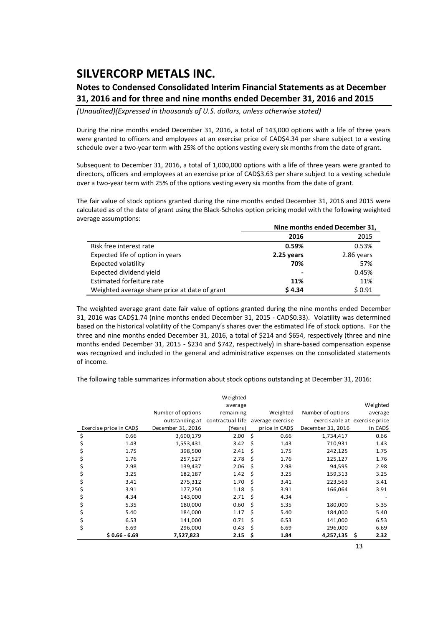### **Notes to Condensed Consolidated Interim Financial Statements as at December 31, 2016 and for three and nine months ended December 31, 2016 and 2015**

*(Unaudited)(Expressed in thousands of U.S. dollars, unless otherwise stated)*

During the nine months ended December 31, 2016, a total of 143,000 options with a life of three years were granted to officers and employees at an exercise price of CAD\$4.34 per share subject to a vesting schedule over a two-year term with 25% of the options vesting every six months from the date of grant.

Subsequent to December 31, 2016, a total of 1,000,000 options with a life of three years were granted to directors, officers and employees at an exercise price of CAD\$3.63 per share subject to a vesting schedule over a two-year term with 25% of the options vesting every six months from the date of grant.

The fair value of stock options granted during the nine months ended December 31, 2016 and 2015 were calculated as of the date of grant using the Black‐Scholes option pricing model with the following weighted average assumptions:

|                                               | Nine months ended December 31, |            |  |  |  |
|-----------------------------------------------|--------------------------------|------------|--|--|--|
|                                               | 2016                           | 2015       |  |  |  |
| Risk free interest rate                       | 0.59%                          | 0.53%      |  |  |  |
| Expected life of option in years              | 2.25 years                     | 2.86 years |  |  |  |
| Expected volatility                           | 70%                            | 57%        |  |  |  |
| Expected dividend yield                       | $\overline{\phantom{0}}$       | 0.45%      |  |  |  |
| Estimated forfeiture rate                     | 11%                            | 11%        |  |  |  |
| Weighted average share price at date of grant | \$4.34                         | \$0.91     |  |  |  |

The weighted average grant date fair value of options granted during the nine months ended December 31, 2016 was CAD\$1.74 (nine months ended December 31, 2015 ‐ CAD\$0.33). Volatility was determined based on the historical volatility of the Company's shares over the estimated life of stock options. For the three and nine months ended December 31, 2016, a total of \$214 and \$654, respectively (three and nine months ended December 31, 2015 - \$234 and \$742, respectively) in share-based compensation expense was recognized and included in the general and administrative expenses on the consolidated statements of income.

The following table summarizes information about stock options outstanding at December 31, 2016:

|    |                         |                   | Weighted                          |    |                |                               |            |
|----|-------------------------|-------------------|-----------------------------------|----|----------------|-------------------------------|------------|
|    |                         |                   | average                           |    |                |                               | Weighted   |
|    |                         | Number of options | remaining                         |    | Weighted       | Number of options             | average    |
|    |                         | outstanding at    | contractual life average exercise |    |                | exercisable at exercise price |            |
|    | Exercise price in CAD\$ | December 31, 2016 | (Years)                           |    | price in CAD\$ | December 31, 2016             | in CAD\$   |
| \$ | 0.66                    | 3,600,179         | 2.00                              | Ŝ. | 0.66           | 1,734,417                     | 0.66       |
|    | 1.43                    | 1,553,431         | 3.42                              | \$ | 1.43           | 710,931                       | 1.43       |
|    | 1.75                    | 398,500           | 2.41                              | Ś  | 1.75           | 242,125                       | 1.75       |
|    | 1.76                    | 257,527           | 2.78                              | Ś  | 1.76           | 125,127                       | 1.76       |
|    | 2.98                    | 139,437           | 2.06                              | Ś  | 2.98           | 94,595                        | 2.98       |
|    | 3.25                    | 182,187           | 1.42                              | Ś  | 3.25           | 159,313                       | 3.25       |
|    | 3.41                    | 275,312           | 1.70                              | Ś  | 3.41           | 223,563                       | 3.41       |
|    | 3.91                    | 177,250           | 1.18                              | Ś  | 3.91           | 166,064                       | 3.91       |
| Ş  | 4.34                    | 143,000           | 2.71                              | Ś  | 4.34           |                               |            |
|    | 5.35                    | 180,000           | 0.60                              | Ś  | 5.35           | 180,000                       | 5.35       |
|    | 5.40                    | 184,000           | 1.17                              | Ś  | 5.40           | 184,000                       | 5.40       |
|    | 6.53                    | 141,000           | 0.71                              | Ś  | 6.53           | 141,000                       | 6.53       |
|    | 6.69                    | 296,000           | 0.43                              | Ś  | 6.69           | 296,000                       | 6.69       |
|    | $$0.66 - 6.69$          | 7,527,823         | 2.15                              | \$ | 1.84           | 4,257,135                     | \$<br>2.32 |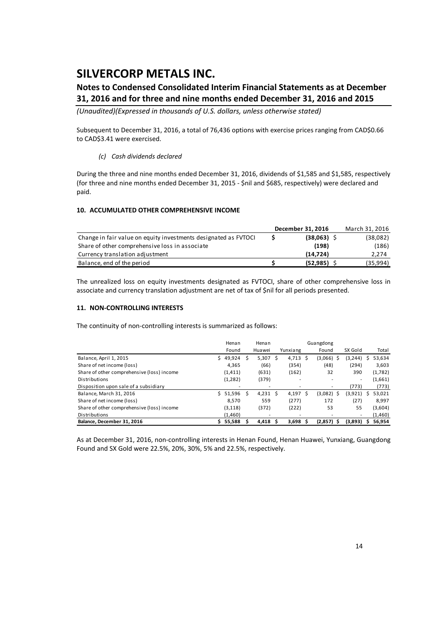### **Notes to Condensed Consolidated Interim Financial Statements as at December 31, 2016 and for three and nine months ended December 31, 2016 and 2015**

*(Unaudited)(Expressed in thousands of U.S. dollars, unless otherwise stated)*

Subsequent to December 31, 2016, a total of 76,436 options with exercise prices ranging from CAD\$0.66 to CAD\$3.41 were exercised.

#### *(c) Cash dividends declared*

During the three and nine months ended December 31, 2016, dividends of \$1,585 and \$1,585, respectively (for three and nine months ended December 31, 2015 ‐ \$nil and \$685, respectively) were declared and paid.

#### **10. ACCUMULATED OTHER COMPREHENSIVE INCOME**

|                                                                 | December 31, 2016 | March 31, 2016 |
|-----------------------------------------------------------------|-------------------|----------------|
| Change in fair value on equity investments designated as FVTOCI | $(38,063)$ \$     | (38,082)       |
| Share of other comprehensive loss in associate                  | (198)             | (186)          |
| Currency translation adjustment                                 | (14.724)          | 2.274          |
| Balance, end of the period                                      | (52, 985)         | (35,994)       |

The unrealized loss on equity investments designated as FVTOCI, share of other comprehensive loss in associate and currency translation adjustment are net of tax of \$nil for all periods presented.

#### **11. NON‐CONTROLLING INTERESTS**

The continuity of non-controlling interests is summarized as follows:

|                                            |    | Henan    | Henan      | Guangdong  |   |               |          |   |         |
|--------------------------------------------|----|----------|------------|------------|---|---------------|----------|---|---------|
|                                            |    | Found    | Huawei     | Yunxiang   |   | Found         | SX Gold  |   | Total   |
| Balance, April 1, 2015                     | S. | 49,924   | $5,307$ \$ | $4,713$ \$ |   | (3,066)<br>-S | (3, 244) |   | 53,634  |
| Share of net income (loss)                 |    | 4.365    | (66)       | (354)      |   | (48)          | (294)    |   | 3,603   |
| Share of other comprehensive (loss) income |    | (1, 411) | (631)      | (162)      |   | 32            | 390      |   | (1,782) |
| Distributions                              |    | (1,282)  | (379)      | ۰          |   |               | ۰.       |   | (1,661) |
| Disposition upon sale of a subsidiary      |    | ۰        | ٠          |            |   |               | (773)    |   | (773)   |
| Balance, March 31, 2016                    | Ś. | 51,596   | 4,231 \$   | 4,197      | S | $(3,082)$ \$  | (3,921)  | S | 53,021  |
| Share of net income (loss)                 |    | 8.570    | 559        | (277)      |   | 172           | (27)     |   | 8,997   |
| Share of other comprehensive (loss) income |    | (3, 118) | (372)      | (222)      |   | 53            | 55       |   | (3,604) |
| Distributions                              |    | (1,460)  | ۰          | ۰          |   |               | ۰.       |   | (1,460) |
| Balance. December 31, 2016                 |    | 55,588   | 4,418      | 3,698      |   | (2,857)       | (3,893)  |   | 56,954  |

As at December 31, 2016, non‐controlling interests in Henan Found, Henan Huawei, Yunxiang, Guangdong Found and SX Gold were 22.5%, 20%, 30%, 5% and 22.5%, respectively.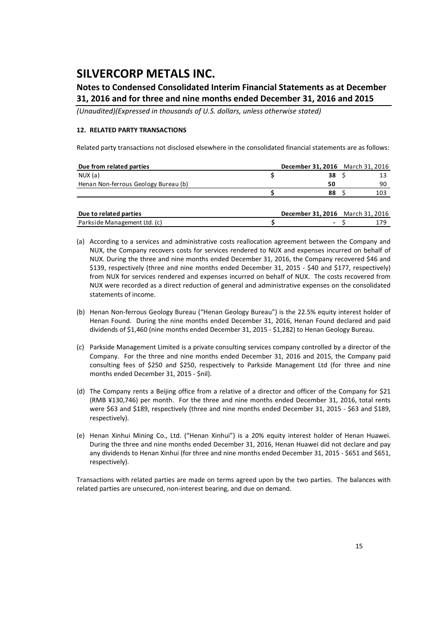### **Notes to Condensed Consolidated Interim Financial Statements as at December 31, 2016 and for three and nine months ended December 31, 2016 and 2015**

*(Unaudited)(Expressed in thousands of U.S. dollars, unless otherwise stated)*

#### **12. RELATED PARTY TRANSACTIONS**

Related party transactions not disclosed elsewhere in the consolidated financial statements are as follows:

| Due from related parties             | December 31, 2016 March 31, 2016 |     |
|--------------------------------------|----------------------------------|-----|
| NUX (a)                              | 38 S                             |     |
| Henan Non-ferrous Geology Bureau (b) | 50                               | 90  |
|                                      | 88                               | 103 |
|                                      |                                  |     |
| Due to related parties               | December 31, 2016 March 31, 2016 |     |

Parkside Management Ltd. (c) **\$ ‐** \$ 179

| (a) According to a services and administrative costs reallocation agreement between the Company and |
|-----------------------------------------------------------------------------------------------------|
| NUX, the Company recovers costs for services rendered to NUX and expenses incurred on behalf of     |
| NUX. During the three and nine months ended December 31, 2016, the Company recovered \$46 and       |
| \$139, respectively (three and nine months ended December 31, 2015 - \$40 and \$177, respectively)  |
| from NUX for services rendered and expenses incurred on behalf of NUX. The costs recovered from     |
| NUX were recorded as a direct reduction of general and administrative expenses on the consolidated  |
| statements of income.                                                                               |

- (b) Henan Non‐ferrous Geology Bureau ("Henan Geology Bureau") is the 22.5% equity interest holder of Henan Found. During the nine months ended December 31, 2016, Henan Found declared and paid dividends of \$1,460 (nine months ended December 31, 2015 ‐ \$1,282) to Henan Geology Bureau.
- (c) Parkside Management Limited is a private consulting services company controlled by a director of the Company. For the three and nine months ended December 31, 2016 and 2015, the Company paid consulting fees of \$250 and \$250, respectively to Parkside Management Ltd (for three and nine months ended December 31, 2015 ‐ \$nil).
- (d) The Company rents a Beijing office from a relative of a director and officer of the Company for \$21 (RMB ¥130,746) per month. For the three and nine months ended December 31, 2016, total rents were \$63 and \$189, respectively (three and nine months ended December 31, 2015 - \$63 and \$189, respectively).
- (e) Henan Xinhui Mining Co., Ltd. ("Henan Xinhui") is a 20% equity interest holder of Henan Huawei. During the three and nine months ended December 31, 2016, Henan Huawei did not declare and pay any dividends to Henan Xinhui (for three and nine months ended December 31, 2015 ‐ \$651 and \$651, respectively).

Transactions with related parties are made on terms agreed upon by the two parties. The balances with related parties are unsecured, non‐interest bearing, and due on demand.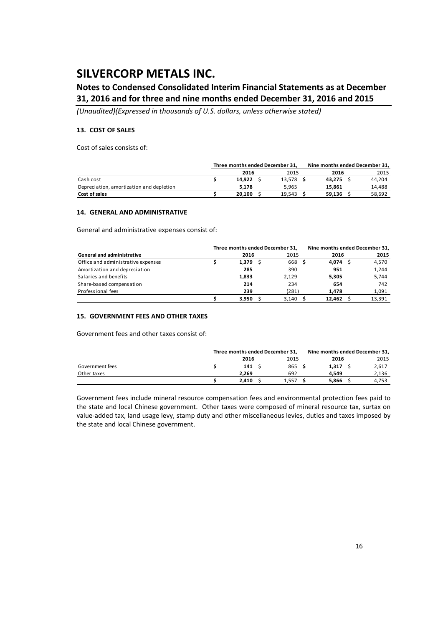### **Notes to Condensed Consolidated Interim Financial Statements as at December 31, 2016 and for three and nine months ended December 31, 2016 and 2015**

*(Unaudited)(Expressed in thousands of U.S. dollars, unless otherwise stated)*

#### **13. COST OF SALES**

Cost of sales consists of:

|                                          | Three months ended December 31, |        | Nine months ended December 31, |  |        |
|------------------------------------------|---------------------------------|--------|--------------------------------|--|--------|
|                                          | 2016                            | 2015   | 2016                           |  | 2015   |
| Cash cost                                | 14.922                          | 13.578 | 43.275 S                       |  | 44.204 |
| Depreciation, amortization and depletion | 5.178                           | 5.965  | 15.861                         |  | 14,488 |
| Cost of sales                            | 20.100                          | 19.543 | 59.136                         |  | 58,692 |

#### **14. GENERAL AND ADMINISTRATIVE**

General and administrative expenses consist of:

|                                    |  | Three months ended December 31, | Nine months ended December 31, |         |        |  |  |
|------------------------------------|--|---------------------------------|--------------------------------|---------|--------|--|--|
| <b>General and administrative</b>  |  | 2016                            | 2015                           | 2016    | 2015   |  |  |
| Office and administrative expenses |  | 1,379                           | 668 \$                         | 4.074 S | 4,570  |  |  |
| Amortization and depreciation      |  | 285                             | 390                            | 951     | 1,244  |  |  |
| Salaries and benefits              |  | 1,833                           | 2,129                          | 5,305   | 5,744  |  |  |
| Share-based compensation           |  | 214                             | 234                            | 654     | 742    |  |  |
| Professional fees                  |  | 239                             | (281)                          | 1.478   | 1,091  |  |  |
|                                    |  | 3,950                           | 3,140                          | 12,462  | 13,391 |  |  |

#### **15. GOVERNMENT FEES AND OTHER TAXES**

Government fees and other taxes consist of:

|                 | Three months ended December 31, |       |  |       | Nine months ended December 31, |  |       |  |
|-----------------|---------------------------------|-------|--|-------|--------------------------------|--|-------|--|
|                 |                                 | 2016  |  | 2015  | 2016                           |  | 2015  |  |
| Government fees |                                 | 141   |  | 865   | 1.317                          |  | 2,617 |  |
| Other taxes     |                                 | 2.269 |  | 692   | 4.549                          |  | 2,136 |  |
|                 |                                 | 2.410 |  | 1.557 | 5.866                          |  | 4.753 |  |

Government fees include mineral resource compensation fees and environmental protection fees paid to the state and local Chinese government. Other taxes were composed of mineral resource tax, surtax on value-added tax, land usage levy, stamp duty and other miscellaneous levies, duties and taxes imposed by the state and local Chinese government.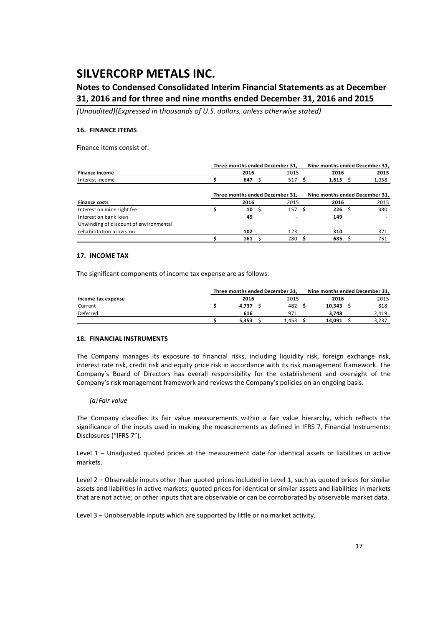### **Notes to Condensed Consolidated Interim Financial Statements as at December 31, 2016 and for three and nine months ended December 31, 2016 and 2015**

*(Unaudited)(Expressed in thousands of U.S. dollars, unless otherwise stated)*

#### **16. FINANCE ITEMS**

Finance items consist of:

|                                        | Three months ended December 31, |    |                                 |  |                                |  | Nine months ended December 31, |  |  |  |
|----------------------------------------|---------------------------------|----|---------------------------------|--|--------------------------------|--|--------------------------------|--|--|--|
| <b>Finance income</b>                  | 2016                            |    | 2015                            |  | 2016                           |  | 2015                           |  |  |  |
| Interest income                        | 647                             |    | 517                             |  | $1,615$ \$                     |  | 1,058                          |  |  |  |
|                                        |                                 |    | Three months ended December 31, |  | Nine months ended December 31, |  |                                |  |  |  |
| <b>Finance costs</b>                   | 2016                            |    | 2015                            |  | 2016                           |  | 2015                           |  |  |  |
| Interest on mine right fee             | 10                              | -Ŝ | 157 <sub>5</sub>                |  | 226S                           |  | 380                            |  |  |  |
| Interest on bank loan                  | 49                              |    | $\overline{\phantom{a}}$        |  | 149                            |  |                                |  |  |  |
| Unwinding of discount of environmental |                                 |    |                                 |  |                                |  |                                |  |  |  |
| rehabilitation provision               | 102                             |    | 123                             |  | 310                            |  | 371                            |  |  |  |
|                                        | 161                             |    | 280                             |  | 685                            |  | 751                            |  |  |  |

#### **17. INCOME TAX**

The significant components of income tax expense are as follows:

|                    | Three months ended December 31, |       |        | Nine months ended December 31, |  |  |
|--------------------|---------------------------------|-------|--------|--------------------------------|--|--|
| Income tax expense | 2016                            | 2015  | 2016   | 2015                           |  |  |
| Current            | 4.737                           | 482   | 10.343 | 818                            |  |  |
| Deferred           | 616                             | 971   | 3.748  | 2.419                          |  |  |
|                    | 5.353                           | 1.453 | 14.091 | 3.237                          |  |  |

#### **18. FINANCIAL INSTRUMENTS**

The Company manages its exposure to financial risks, including liquidity risk, foreign exchange risk, interest rate risk, credit risk and equity price risk in accordance with its risk management framework. The Company's Board of Directors has overall responsibility for the establishment and oversight of the Company's risk management framework and reviews the Company's policies on an ongoing basis.

#### *(a) Fair value*

The Company classifies its fair value measurements within a fair value hierarchy, which reflects the significance of the inputs used in making the measurements as defined in IFRS 7, Financial Instruments: Disclosures ("IFRS 7").

Level 1 – Unadjusted quoted prices at the measurement date for identical assets or liabilities in active markets.

Level 2 – Observable inputs other than quoted prices included in Level 1, such as quoted prices for similar assets and liabilities in active markets; quoted prices for identical or similar assets and liabilities in markets that are not active; or other inputs that are observable or can be corroborated by observable market data.

Level 3 – Unobservable inputs which are supported by little or no market activity.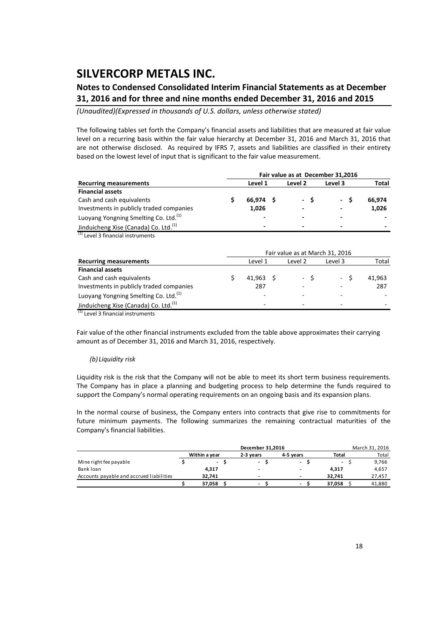### **Notes to Condensed Consolidated Interim Financial Statements as at December 31, 2016 and for three and nine months ended December 31, 2016 and 2015**

*(Unaudited)(Expressed in thousands of U.S. dollars, unless otherwise stated)*

The following tables set forth the Company's financial assets and liabilities that are measured at fair value level on a recurring basis within the fair value hierarchy at December 31, 2016 and March 31, 2016 that are not otherwise disclosed. As required by IFRS 7, assets and liabilities are classified in their entirety based on the lowest level of input that is significant to the fair value measurement.

|                                                   |                          | Fair value as at December 31,2016 |                          |        |
|---------------------------------------------------|--------------------------|-----------------------------------|--------------------------|--------|
| <b>Recurring measurements</b>                     | Level 1                  | Level 2                           | Level 3                  | Total  |
| <b>Financial assets</b>                           |                          |                                   |                          |        |
| Cash and cash equivalents                         | 66.974 \$                | - S                               | $\sim$                   | 66.974 |
| Investments in publicly traded companies          | 1,026                    | -                                 | -                        | 1,026  |
| Luoyang Yongning Smelting Co. Ltd. <sup>(1)</sup> | $\overline{\phantom{0}}$ |                                   | $\overline{\phantom{0}}$ |        |
| Jinduicheng Xise (Canada) Co. Ltd. <sup>(1)</sup> | -                        | -                                 | -                        | -      |

<sup>(1)</sup> Level 3 financial instruments

|                                                                                                | Fair value as at March 31, 2016 |                          |         |         |        |  |  |  |  |  |  |  |  |  |
|------------------------------------------------------------------------------------------------|---------------------------------|--------------------------|---------|---------|--------|--|--|--|--|--|--|--|--|--|
| <b>Recurring measurements</b>                                                                  |                                 | Level 1                  | Level 2 | Level 3 | Total  |  |  |  |  |  |  |  |  |  |
| <b>Financial assets</b>                                                                        |                                 |                          |         |         |        |  |  |  |  |  |  |  |  |  |
| Cash and cash equivalents                                                                      |                                 | $41.963 \quad S$         | $-S$    | $- S$   | 41,963 |  |  |  |  |  |  |  |  |  |
| Investments in publicly traded companies                                                       |                                 | 287                      |         |         | 287    |  |  |  |  |  |  |  |  |  |
| Luoyang Yongning Smelting Co. Ltd. <sup>(1)</sup>                                              |                                 | $\overline{\phantom{a}}$ |         |         |        |  |  |  |  |  |  |  |  |  |
| Jinduicheng Xise (Canada) Co. Ltd. <sup>(1)</sup><br>$\sim$ $\sim$ $\sim$ $\sim$ $\sim$ $\sim$ |                                 | <u>. .</u>               |         |         |        |  |  |  |  |  |  |  |  |  |

(1) Level 3 financial instruments

Fair value of the other financial instruments excluded from the table above approximates their carrying amount as of December 31, 2016 and March 31, 2016, respectively.

#### *(b) Liquidity risk*

Liquidity risk is the risk that the Company will not be able to meet its short term business requirements. The Company has in place a planning and budgeting process to help determine the funds required to support the Company's normal operating requirements on an ongoing basis and its expansion plans.

In the normal course of business, the Company enters into contracts that give rise to commitments for future minimum payments. The following summarizes the remaining contractual maturities of the Company's financial liabilities.

|                                          |               | March 31, 2016 |                          |                          |  |        |  |  |
|------------------------------------------|---------------|----------------|--------------------------|--------------------------|--|--------|--|--|
|                                          | Within a vear | 2-3 vears      | 4-5 vears                | <b>Total</b>             |  | Total  |  |  |
| Mine right fee payable                   | $\sim$        | ۰              | $\overline{\phantom{a}}$ | $\overline{\phantom{a}}$ |  | 9,766  |  |  |
| Bank loan                                | 4.317         | -              | $\overline{\phantom{0}}$ | 4.317                    |  | 4,657  |  |  |
| Accounts payable and accrued liabilities | 32.741        | -              | $\overline{\phantom{a}}$ | 32.741                   |  | 27.457 |  |  |
|                                          | 37.058        | -              | $\overline{\phantom{0}}$ | 37.058                   |  | 41,880 |  |  |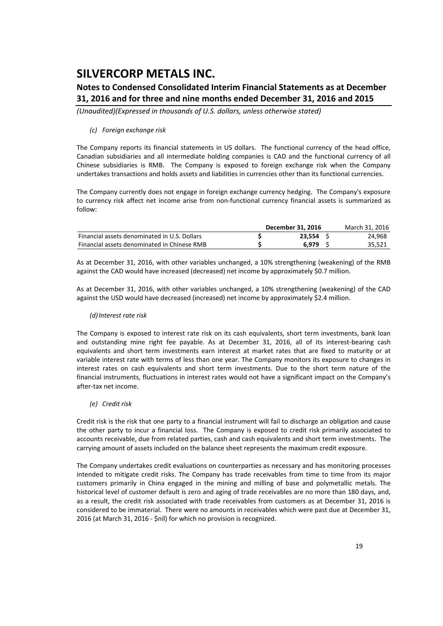### **Notes to Condensed Consolidated Interim Financial Statements as at December 31, 2016 and for three and nine months ended December 31, 2016 and 2015**

*(Unaudited)(Expressed in thousands of U.S. dollars, unless otherwise stated)*

#### *(c) Foreign exchange risk*

The Company reports its financial statements in US dollars. The functional currency of the head office, Canadian subsidiaries and all intermediate holding companies is CAD and the functional currency of all Chinese subsidiaries is RMB. The Company is exposed to foreign exchange risk when the Company undertakes transactions and holds assets and liabilities in currencies other than its functional currencies.

The Company currently does not engage in foreign exchange currency hedging. The Company's exposure to currency risk affect net income arise from non-functional currency financial assets is summarized as follow:

|                                              | December 31, 2016 | March 31, 2016 |
|----------------------------------------------|-------------------|----------------|
| Financial assets denominated in U.S. Dollars | 23.554            | 24.968         |
| Financial assets denominated in Chinese RMB  | 6.979             | 35.521         |

As at December 31, 2016, with other variables unchanged, a 10% strengthening (weakening) of the RMB against the CAD would have increased (decreased) net income by approximately \$0.7 million.

As at December 31, 2016, with other variables unchanged, a 10% strengthening (weakening) of the CAD against the USD would have decreased (increased) net income by approximately \$2.4 million.

#### *(d)Interest rate risk*

The Company is exposed to interest rate risk on its cash equivalents, short term investments, bank loan and outstanding mine right fee payable. As at December 31, 2016, all of its interest-bearing cash equivalents and short term investments earn interest at market rates that are fixed to maturity or at variable interest rate with terms of less than one year. The Company monitors its exposure to changes in interest rates on cash equivalents and short term investments. Due to the short term nature of the financial instruments, fluctuations in interest rates would not have a significant impact on the Company's after‐tax net income.

*(e) Credit risk*

Credit risk is the risk that one party to a financial instrument will fail to discharge an obligation and cause the other party to incur a financial loss. The Company is exposed to credit risk primarily associated to accounts receivable, due from related parties, cash and cash equivalents and short term investments. The carrying amount of assets included on the balance sheet represents the maximum credit exposure.

The Company undertakes credit evaluations on counterparties as necessary and has monitoring processes intended to mitigate credit risks. The Company has trade receivables from time to time from its major customers primarily in China engaged in the mining and milling of base and polymetallic metals. The historical level of customer default is zero and aging of trade receivables are no more than 180 days, and, as a result, the credit risk associated with trade receivables from customers as at December 31, 2016 is considered to be immaterial. There were no amounts in receivables which were past due at December 31, 2016 (at March 31, 2016 ‐ \$nil) for which no provision is recognized.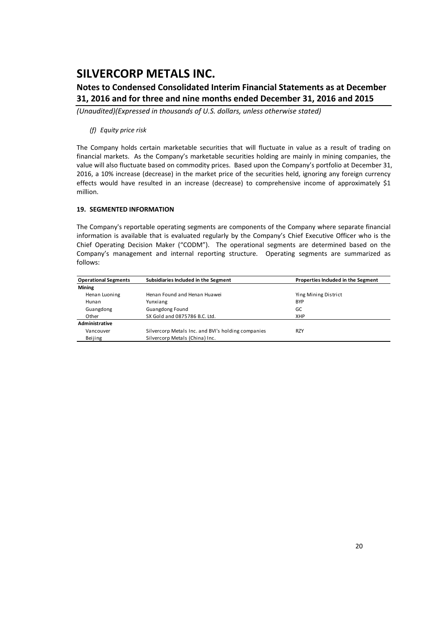### **Notes to Condensed Consolidated Interim Financial Statements as at December 31, 2016 and for three and nine months ended December 31, 2016 and 2015**

*(Unaudited)(Expressed in thousands of U.S. dollars, unless otherwise stated)*

#### *(f) Equity price risk*

The Company holds certain marketable securities that will fluctuate in value as a result of trading on financial markets. As the Company's marketable securities holding are mainly in mining companies, the value will also fluctuate based on commodity prices. Based upon the Company's portfolio at December 31, 2016, a 10% increase (decrease) in the market price of the securities held, ignoring any foreign currency effects would have resulted in an increase (decrease) to comprehensive income of approximately \$1 million.

#### **19. SEGMENTED INFORMATION**

The Company's reportable operating segments are components of the Company where separate financial information is available that is evaluated regularly by the Company's Chief Executive Officer who is the Chief Operating Decision Maker ("CODM"). The operational segments are determined based on the Company's management and internal reporting structure. Operating segments are summarized as follows:

| <b>Operational Segments</b> | Subsidiaries Included in the Segment               | Properties Included in the Segment |
|-----------------------------|----------------------------------------------------|------------------------------------|
| Mining                      |                                                    |                                    |
| Henan Luoning               | Henan Found and Henan Huawei                       | Ying Mining District               |
| Hunan                       | Yunxiang                                           | <b>BYP</b>                         |
| Guangdong                   | <b>Guangdong Found</b>                             | GC                                 |
| Other                       | SX Gold and 0875786 B.C. Ltd.                      | <b>XHP</b>                         |
| Administrative              |                                                    |                                    |
| Vancouver                   | Silvercorp Metals Inc. and BVI's holding companies | <b>RZY</b>                         |
| Beijing                     | Silvercorp Metals (China) Inc.                     |                                    |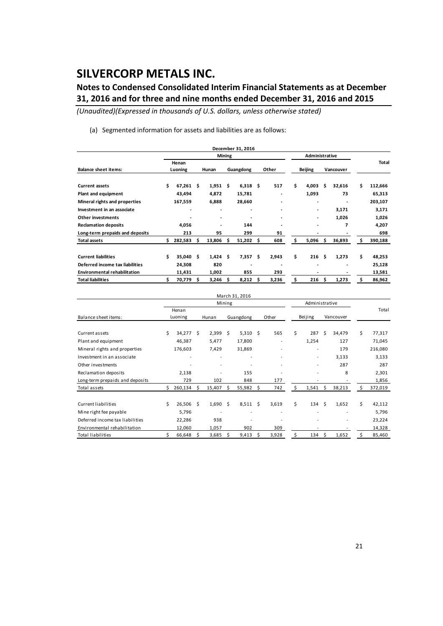### **Notes to Condensed Consolidated Interim Financial Statements as at December 31, 2016 and for three and nine months ended December 31, 2016 and 2015**

*(Unaudited)(Expressed in thousands of U.S. dollars, unless otherwise stated)*

(a) Segmented information for assets and liabilities are as follows:

|                                     |                  |         |     |            |               | December 31, 2016 |    |                          |                |           |        |    |         |
|-------------------------------------|------------------|---------|-----|------------|---------------|-------------------|----|--------------------------|----------------|-----------|--------|----|---------|
|                                     |                  |         |     |            | <b>Mining</b> |                   |    |                          | Administrative |           |        |    |         |
| <b>Balance sheet items:</b>         | Henan<br>Luoning |         |     | Hunan      |               | Guangdong         |    | Other                    | Beijing        | Vancouver |        |    | Total   |
|                                     |                  |         |     |            |               |                   |    |                          |                |           |        |    |         |
| <b>Current assets</b>               | \$               | 67,261  | Ŝ.  | 1,951      | - \$          | 6,318             | Ŝ. | 517                      | \$<br>4,003    | Ś         | 32,616 | Ś  | 112,666 |
| Plant and equipment                 |                  | 43,494  |     | 4,872      |               | 15,781            |    |                          | 1,093          |           | 73     |    | 65,313  |
| Mineral rights and properties       |                  | 167,559 |     | 6,888      |               | 28,660            |    | -                        |                |           |        |    | 203,107 |
| Investment in an associate          |                  | ٠       |     | ٠          |               | ٠                 |    | ٠                        |                |           | 3,171  |    | 3,171   |
| <b>Other investments</b>            |                  |         |     | ٠          |               |                   |    | $\overline{\phantom{a}}$ |                |           | 1,026  |    | 1,026   |
| <b>Reclamation deposits</b>         |                  | 4,056   |     | ٠          |               | 144               |    |                          |                |           | 7      |    | 4,207   |
| Long-term prepaids and deposits     |                  | 213     |     | 95         |               | 299               |    | 91                       |                |           |        |    | 698     |
| <b>Total assets</b>                 | Ś                | 282,583 | s   | 13,806     | Ŝ             | 51,202            | Ŝ  | 608                      | \$<br>5,096    | \$        | 36,893 | Ŝ  | 390,188 |
|                                     |                  |         |     |            |               |                   |    |                          |                |           |        |    |         |
| <b>Current liabilities</b>          | Ś                | 35,040  | \$. | $1,424$ \$ |               | 7,357             | Ŝ  | 2,943                    | \$<br>216      | \$.       | 1,273  | \$ | 48,253  |
| Deferred income tax liabilities     |                  | 24,308  |     | 820        |               |                   |    |                          |                |           |        |    | 25,128  |
| <b>Environmental rehabilitation</b> |                  | 11,431  |     | 1,002      |               | 855               |    | 293                      |                |           |        |    | 13,581  |
| <b>Total liabilities</b>            |                  | 70,779  | \$. | 3,246      | Ś             | 8,212             | Ŝ  | 3,236                    | \$<br>216      | \$        | 1,273  | Ś  | 86,962  |

|                                 |    |         |    |        |        | March 31, 2016 |    |       |    |                          |    |           |    |         |
|---------------------------------|----|---------|----|--------|--------|----------------|----|-------|----|--------------------------|----|-----------|----|---------|
|                                 |    |         |    |        | Mining |                |    |       |    | Administrative           |    |           |    |         |
|                                 |    | Henan   |    |        |        |                |    |       |    |                          |    |           |    | Total   |
| Balance sheet items:            |    | Luoning |    | Hunan  |        | Guangdong      |    | Other |    | Beijing                  |    | Vancouver |    |         |
|                                 |    |         |    |        |        |                |    |       |    |                          |    |           |    |         |
| Current assets                  | Ś. | 34,277  | Ś. | 2,399  | Ś.     | 5,310          | Ŝ. | 565   | \$ | 287                      | Ś  | 34,479    | \$ | 77,317  |
| Plant and equipment             |    | 46,387  |    | 5,477  |        | 17,800         |    |       |    | 1,254                    |    | 127       |    | 71,045  |
| Mineral rights and properties   |    | 176,603 |    | 7,429  |        | 31,869         |    |       |    | ۰                        |    | 179       |    | 216,080 |
| Investment in an associate      |    |         |    |        |        | ٠              |    |       |    | $\overline{\phantom{0}}$ |    | 3,133     |    | 3,133   |
| Other investments               |    |         |    |        |        |                |    |       |    | ۰                        |    | 287       |    | 287     |
| Reclamation deposits            |    | 2,138   |    |        |        | 155            |    |       |    |                          |    | 8         |    | 2,301   |
| Long-term prepaids and deposits |    | 729     |    | 102    |        | 848            |    | 177   |    |                          |    |           |    | 1,856   |
| Total assets                    | Ś. | 260,134 | Ś. | 15,407 | Ś.     | 55,982         | Ŝ. | 742   | Ś. | 1,541                    | \$ | 38,213    | Ś. | 372,019 |
|                                 |    |         |    |        |        |                |    |       |    |                          |    |           |    |         |
| Current liabilities             | \$ | 26,506  | Ŝ. | 1,690  | Ś      | 8,511          | Ś. | 3,619 | \$ | 134                      | Ŝ. | 1,652     | Ś  | 42,112  |
| Mine right fee payable          |    | 5,796   |    |        |        |                |    |       |    |                          |    |           |    | 5,796   |
| Deferred income tax liabilities |    | 22,286  |    | 938    |        |                |    |       |    |                          |    |           |    | 23,224  |
| Environmental rehabilitation    |    | 12,060  |    | 1,057  |        | 902            |    | 309   |    |                          |    |           |    | 14,328  |
| <b>Total liabilities</b>        | Ś. | 66,648  | Ś  | 3,685  | Ś      | 9,413          | Ŝ. | 3,928 | Ś  | 134                      | Ŝ. | 1,652     | Ś  | 85,460  |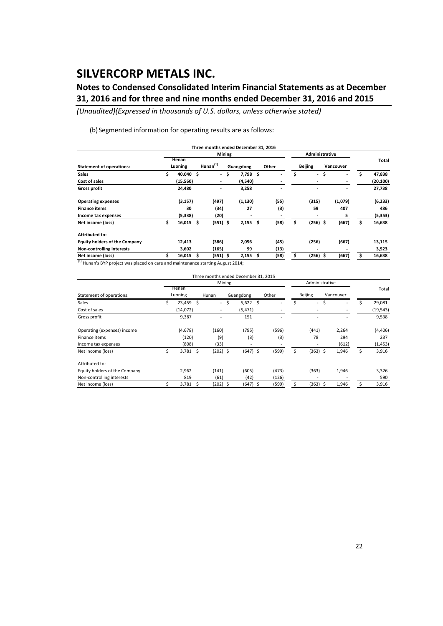### **Notes to Condensed Consolidated Interim Financial Statements as at December 31, 2016 and for three and nine months ended December 31, 2016 and 2015**

*(Unaudited)(Expressed in thousands of U.S. dollars, unless otherwise stated)*

(b)Segmented information for operating results are as follows:

|                                      |    |                  |   | Three months ended December 31, 2016 |  |           |     |       |    |                          |           |         |              |
|--------------------------------------|----|------------------|---|--------------------------------------|--|-----------|-----|-------|----|--------------------------|-----------|---------|--------------|
|                                      |    |                  |   | <b>Mining</b>                        |  |           |     |       |    | Administrative           |           |         |              |
| <b>Statement of operations:</b>      |    | Henan<br>Luoning |   | Hunan $(1)$                          |  | Guangdong |     | Other |    | <b>Beijing</b>           | Vancouver |         | Total        |
| <b>Sales</b>                         | Ś  | 40,040 \$        |   | - \$                                 |  | 7,798     | \$. |       | \$ |                          | - \$      | ٠       | \$<br>47,838 |
| Cost of sales                        |    | (15, 560)        |   | ٠                                    |  | (4,540)   |     |       |    | $\overline{\phantom{0}}$ |           |         | (20, 100)    |
| <b>Gross profit</b>                  |    | 24,480           |   | ٠                                    |  | 3,258     |     |       |    | $\blacksquare$           |           | ٠       | 27,738       |
| <b>Operating expenses</b>            |    | (3, 157)         |   | (497)                                |  | (1, 130)  |     | (55)  |    | (315)                    |           | (1,079) | (6, 233)     |
| <b>Finance items</b>                 |    | 30               |   | (34)                                 |  | 27        |     | (3)   |    | 59                       |           | 407     | 486          |
| Income tax expenses                  |    | (5, 338)         |   | (20)                                 |  | ٠         |     |       |    |                          |           | 5       | (5, 353)     |
| Net income (loss)                    | \$ | 16,015           | Ŝ | $(551)$ \$                           |  | 2,155     | \$  | (58)  | \$ | $(256)$ \$               |           | (667)   | \$<br>16,638 |
| <b>Attributed to:</b>                |    |                  |   |                                      |  |           |     |       |    |                          |           |         |              |
| <b>Equity holders of the Company</b> |    | 12,413           |   | (386)                                |  | 2,056     |     | (45)  |    | (256)                    |           | (667)   | 13,115       |
| Non-controlling interests            |    | 3,602            |   | (165)                                |  | 99        |     | (13)  |    | $\blacksquare$           |           |         | 3,523        |
| Net income (loss)                    |    | 16,015           | Ś | $(551)$ \$                           |  | 2,155     | \$  | (58)  |    | $(256)$ \$               |           | (667)   | 16,638       |

 $(1)$  Hunan's BYP project was placed on care and maintenance starting August 2014;

|                               |         |             |   | Three months ended December 31, 2015 |     |            |  |       |    |                |  |           |    |           |
|-------------------------------|---------|-------------|---|--------------------------------------|-----|------------|--|-------|----|----------------|--|-----------|----|-----------|
|                               |         |             |   | Mining                               |     |            |  |       |    | Administrative |  |           |    |           |
|                               |         | Henan       |   |                                      |     |            |  |       |    |                |  |           |    | Total     |
| Statement of operations:      | Luoning |             |   | Hunan                                |     | Guangdong  |  | Other |    | Beijing        |  | Vancouver |    |           |
| Sales                         | \$      | $23,459$ \$ |   | $\sim$                               | -\$ | $5,622$ \$ |  |       | Ś  | - \$           |  |           | \$ | 29,081    |
| Cost of sales                 |         | (14,072)    |   | -                                    |     | (5, 471)   |  |       |    |                |  |           |    | (19, 543) |
| Gross profit                  |         | 9,387       |   |                                      |     | 151        |  |       |    |                |  |           |    | 9,538     |
| Operating (expenses) income   |         | (4,678)     |   | (160)                                |     | (795)      |  | (596) |    | (441)          |  | 2,264     |    | (4, 406)  |
| Finance items                 |         | (120)       |   | (9)                                  |     | (3)        |  | (3)   |    | 78             |  | 294       |    | 237       |
| Income tax expenses           |         | (808)       |   | (33)                                 |     |            |  |       |    |                |  | (612)     |    | (1, 453)  |
| Net income (loss)             | \$      | $3,781$ \$  |   | $(202)$ \$                           |     | $(647)$ \$ |  | (599) | \$ | $(363)$ \$     |  | 1,946     | \$ | 3,916     |
| Attributed to:                |         |             |   |                                      |     |            |  |       |    |                |  |           |    |           |
| Equity holders of the Company |         | 2,962       |   | (141)                                |     | (605)      |  | (473) |    | (363)          |  | 1,946     |    | 3,326     |
| Non-controlling interests     |         | 819         |   | (61)                                 |     | (42)       |  | (126) |    |                |  |           |    | 590       |
| Net income (loss)             |         | 3,781       | Ŝ | $(202)$ \$                           |     | $(647)$ \$ |  | (599) | \$ | $(363)$ \$     |  | 1,946     | Ś  | 3,916     |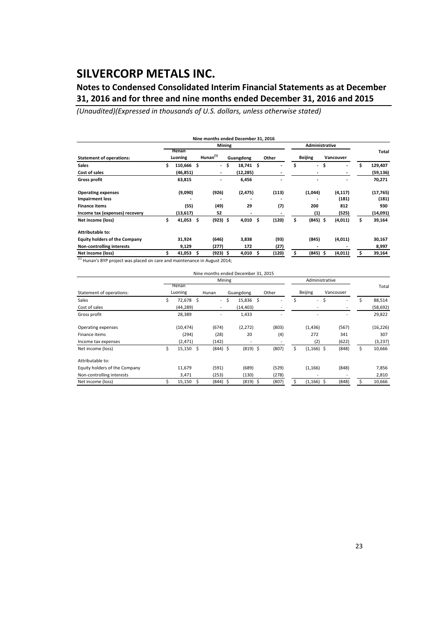### **Notes to Condensed Consolidated Interim Financial Statements as at December 31, 2016 and for three and nine months ended December 31, 2016 and 2015**

*(Unaudited)(Expressed in thousands of U.S. dollars, unless otherwise stated)*

|                                      |    |                  |             |            | Mining    |           |     |       |    | Administrative           |     |           |    |           |  |
|--------------------------------------|----|------------------|-------------|------------|-----------|-----------|-----|-------|----|--------------------------|-----|-----------|----|-----------|--|
| <b>Statement of operations:</b>      |    | Henan<br>Luoning | Hunan $(1)$ |            | Guangdong |           |     | Other |    | <b>Beijing</b>           |     | Vancouver |    | Total     |  |
| <b>Sales</b>                         | Ś  | 110,666 \$       |             | $\sim$     | \$.       | 18,741 \$ |     |       | Ś  | $\overline{\phantom{a}}$ | \$. |           | \$ | 129,407   |  |
| Cost of sales                        |    | (46,851)         |             | ٠          |           | (12, 285) |     |       |    |                          |     |           |    | (59, 136) |  |
| <b>Gross profit</b>                  |    | 63,815           |             |            |           | 6,456     |     |       |    |                          |     |           |    | 70,271    |  |
| <b>Operating expenses</b>            |    | (9,090)          |             | (926)      |           | (2, 475)  |     | (113) |    | (1,044)                  |     | (4, 117)  |    | (17, 765) |  |
| <b>Impairment loss</b>               |    |                  |             |            |           |           |     |       |    |                          |     | (181)     |    | (181)     |  |
| <b>Finance items</b>                 |    | (55)             |             | (49)       |           | 29        |     | (7)   |    | 200                      |     | 812       |    | 930       |  |
| Income tax (expenses) recovery       |    | (13,617)         |             | 52         |           | -         |     |       |    | (1)                      |     | (525)     |    | (14,091)  |  |
| Net income (loss)                    | \$ | 41,053 \$        |             | $(923)$ \$ |           | 4,010     | -\$ | (120) | Ś  | $(845)$ \$               |     | (4,011)   | \$ | 39,164    |  |
| Attributable to:                     |    |                  |             |            |           |           |     |       |    |                          |     |           |    |           |  |
| <b>Equity holders of the Company</b> |    | 31,924           |             | (646)      |           | 3,838     |     | (93)  |    | (845)                    |     | (4,011)   |    | 30,167    |  |
| <b>Non-controlling interests</b>     |    | 9,129            |             | (277)      |           | 172       |     | (27)  |    |                          |     |           |    | 8,997     |  |
| Net income (loss)                    |    | 41,053           |             | $(923)$ \$ |           | 4,010     | Ŝ   | (120) | \$ | $(845)$ \$               |     | (4,011)   | Ś  | 39,164    |  |

 $\frac{(1)}{(1)}$  Hunan's BYP project was placed on care and maintenance in August 2014;

|                               |    |             |   |            |      | Nine months ended December 31, 2015 |       |    |                |                          |              |
|-------------------------------|----|-------------|---|------------|------|-------------------------------------|-------|----|----------------|--------------------------|--------------|
|                               |    |             |   | Mining     |      |                                     |       |    | Administrative |                          |              |
|                               |    | Henan       |   |            |      |                                     |       |    |                |                          | Total        |
| Statement of operations:      |    | Luoning     |   | Hunan      |      | Guangdong                           | Other |    | <b>Beijing</b> | Vancouver                |              |
| Sales                         | Ś  | 72,678 \$   |   |            | - \$ | 15,836 \$                           |       | Ŝ. | $-5$           | $\overline{\phantom{a}}$ | \$<br>88,514 |
| Cost of sales                 |    | (44, 289)   |   | ٠          |      | (14, 403)                           |       |    |                |                          | (58, 692)    |
| Gross profit                  |    | 28,389      |   |            |      | 1,433                               |       |    |                |                          | 29,822       |
| Operating expenses            |    | (10, 474)   |   | (674)      |      | (2, 272)                            | (803) |    | (1, 436)       | (567)                    | (16, 226)    |
| Finance items                 |    | (294)       |   | (28)       |      | 20                                  | (4)   |    | 272            | 341                      | 307          |
| Income tax expenses           |    | (2, 471)    |   | (142)      |      |                                     |       |    | (2)            | (622)                    | (3, 237)     |
| Net income (loss)             | \$ | $15,150$ \$ |   | $(844)$ \$ |      | $(819)$ \$                          | (807) | Ś  | $(1, 166)$ \$  | (848)                    | \$<br>10,666 |
| Attributable to:              |    |             |   |            |      |                                     |       |    |                |                          |              |
| Equity holders of the Company |    | 11,679      |   | (591)      |      | (689)                               | (529) |    | (1, 166)       | (848)                    | 7,856        |
| Non-controlling interests     |    | 3,471       |   | (253)      |      | (130)                               | (278) |    |                |                          | 2,810        |
| Net income (loss)             |    | 15,150      | S | $(844)$ \$ |      | $(819)$ \$                          | (807) |    | $(1, 166)$ \$  | (848)                    | 10,666       |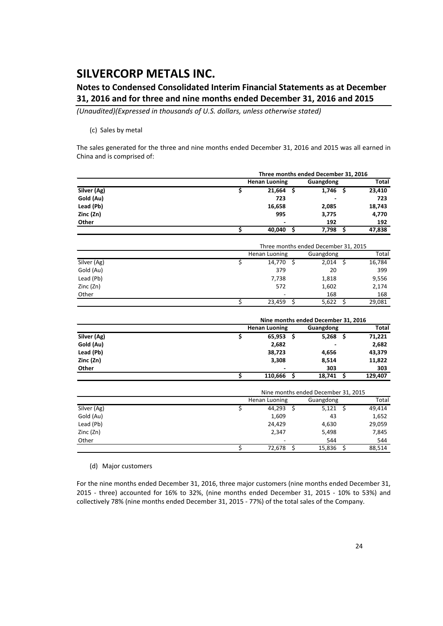### **Notes to Condensed Consolidated Interim Financial Statements as at December 31, 2016 and for three and nine months ended December 31, 2016 and 2015**

*(Unaudited)(Expressed in thousands of U.S. dollars, unless otherwise stated)*

#### (c) Sales by metal

The sales generated for the three and nine months ended December 31, 2016 and 2015 was all earned in China and is comprised of:

|             |                                     | Three months ended December 31, 2016                               |     |            |      |                 |  |  |  |
|-------------|-------------------------------------|--------------------------------------------------------------------|-----|------------|------|-----------------|--|--|--|
|             |                                     | <b>Henan Luoning</b><br>Guangdong                                  |     |            |      |                 |  |  |  |
| Silver (Ag) | \$                                  | 21,664                                                             | \$. | 1,746      | Ŝ.   | 23,410          |  |  |  |
| Gold (Au)   |                                     | 723                                                                |     |            |      | 723             |  |  |  |
| Lead (Pb)   |                                     | 16,658                                                             |     | 2,085      |      | 18,743          |  |  |  |
| Zinc (Zn)   |                                     | 995                                                                |     | 3,775      |      | 4,770           |  |  |  |
| Other       |                                     |                                                                    |     | 192        |      | 192             |  |  |  |
|             | $\overline{\mathsf{s}}$             | 40,040                                                             | Ś   | 7,798      | Ś    | 47,838          |  |  |  |
|             |                                     |                                                                    |     |            |      |                 |  |  |  |
|             |                                     | Three months ended December 31, 2015<br>Henan Luoning<br>Guangdong |     |            |      |                 |  |  |  |
| Silver (Ag) | \$                                  | $14,770$ \$                                                        |     | $2,014$ \$ |      | Total<br>16,784 |  |  |  |
| Gold (Au)   |                                     | 379                                                                |     | 20         |      | 399             |  |  |  |
| Lead (Pb)   |                                     | 7,738                                                              |     | 1,818      |      | 9,556           |  |  |  |
| Zinc (Zn)   |                                     | 572                                                                |     | 1,602      |      | 2,174           |  |  |  |
| Other       |                                     |                                                                    |     | 168        |      | 168             |  |  |  |
|             | \$                                  | 23,459                                                             | Ŝ.  | 5,622      | \$   | 29,081          |  |  |  |
|             |                                     | Nine months ended December 31, 2016                                |     |            |      |                 |  |  |  |
|             |                                     | <b>Henan Luoning</b>                                               |     | Guangdong  |      | <b>Total</b>    |  |  |  |
| Silver (Ag) | \$                                  | 65,953                                                             | \$. | 5,268      | - \$ | 71,221          |  |  |  |
| Gold (Au)   |                                     | 2,682                                                              |     |            |      | 2,682           |  |  |  |
| Lead (Pb)   |                                     | 38,723                                                             |     | 4,656      |      | 43,379          |  |  |  |
| Zinc (Zn)   |                                     | 3,308                                                              |     | 8,514      |      | 11,822          |  |  |  |
| Other       |                                     |                                                                    |     | 303        |      | 303             |  |  |  |
|             | $\overline{\mathsf{s}}$             | 110,666                                                            | Ś   | 18,741     | Ś    | 129,407         |  |  |  |
|             | Nine months ended December 31, 2015 |                                                                    |     |            |      |                 |  |  |  |
|             |                                     | Henan Luoning                                                      |     | Guangdong  |      | Total           |  |  |  |
| Silver (Ag) | \$                                  | 44,293                                                             | Ŝ.  | 5,121      | Ŝ.   | 49,414          |  |  |  |
| Gold (Au)   |                                     | 1,609                                                              |     | 43         |      | 1,652           |  |  |  |
| Lead (Pb)   |                                     | 24,429                                                             |     | 4,630      |      | 29,059          |  |  |  |
| Zinc (Zn)   |                                     | 2,347                                                              |     | 5,498      |      | 7,845           |  |  |  |
| Other       |                                     |                                                                    |     | 544        |      | 544             |  |  |  |
|             | \$                                  | 72,678                                                             | \$  | 15,836     | \$   | 88,514          |  |  |  |

(d) Major customers

For the nine months ended December 31, 2016, three major customers (nine months ended December 31, 2015 ‐ three) accounted for 16% to 32%, (nine months ended December 31, 2015 ‐ 10% to 53%) and collectively 78% (nine months ended December 31, 2015 ‐ 77%) of the total sales of the Company.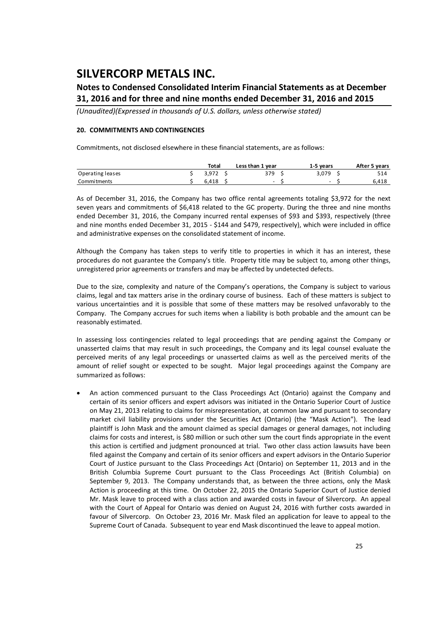### **Notes to Condensed Consolidated Interim Financial Statements as at December 31, 2016 and for three and nine months ended December 31, 2016 and 2015**

*(Unaudited)(Expressed in thousands of U.S. dollars, unless otherwise stated)*

#### **20. COMMITMENTS AND CONTINGENCIES**

Commitments, not disclosed elsewhere in these financial statements, are as follows:

|                  | Total | Less than 1 year | 1-5 years                | After 5 years |
|------------------|-------|------------------|--------------------------|---------------|
| Operating leases | 3.972 | 379              | 3.079                    |               |
| Commitments      | 6.418 | $\sim$           | $\overline{\phantom{0}}$ | 6,418         |

As of December 31, 2016, the Company has two office rental agreements totaling \$3,972 for the next seven years and commitments of \$6,418 related to the GC property. During the three and nine months ended December 31, 2016, the Company incurred rental expenses of \$93 and \$393, respectively (three and nine months ended December 31, 2015 ‐ \$144 and \$479, respectively), which were included in office and administrative expenses on the consolidated statement of income.

Although the Company has taken steps to verify title to properties in which it has an interest, these procedures do not guarantee the Company's title. Property title may be subject to, among other things, unregistered prior agreements or transfers and may be affected by undetected defects.

Due to the size, complexity and nature of the Company's operations, the Company is subject to various claims, legal and tax matters arise in the ordinary course of business. Each of these matters is subject to various uncertainties and it is possible that some of these matters may be resolved unfavorably to the Company. The Company accrues for such items when a liability is both probable and the amount can be reasonably estimated.

In assessing loss contingencies related to legal proceedings that are pending against the Company or unasserted claims that may result in such proceedings, the Company and its legal counsel evaluate the perceived merits of any legal proceedings or unasserted claims as well as the perceived merits of the amount of relief sought or expected to be sought. Major legal proceedings against the Company are summarized as follows:

 An action commenced pursuant to the Class Proceedings Act (Ontario) against the Company and certain of its senior officers and expert advisors was initiated in the Ontario Superior Court of Justice on May 21, 2013 relating to claims for misrepresentation, at common law and pursuant to secondary market civil liability provisions under the Securities Act (Ontario) (the "Mask Action"). The lead plaintiff is John Mask and the amount claimed as special damages or general damages, not including claims for costs and interest, is \$80 million or such other sum the court finds appropriate in the event this action is certified and judgment pronounced at trial. Two other class action lawsuits have been filed against the Company and certain of its senior officers and expert advisors in the Ontario Superior Court of Justice pursuant to the Class Proceedings Act (Ontario) on September 11, 2013 and in the British Columbia Supreme Court pursuant to the Class Proceedings Act (British Columbia) on September 9, 2013. The Company understands that, as between the three actions, only the Mask Action is proceeding at this time. On October 22, 2015 the Ontario Superior Court of Justice denied Mr. Mask leave to proceed with a class action and awarded costs in favour of Silvercorp. An appeal with the Court of Appeal for Ontario was denied on August 24, 2016 with further costs awarded in favour of Silvercorp. On October 23, 2016 Mr. Mask filed an application for leave to appeal to the Supreme Court of Canada. Subsequent to year end Mask discontinued the leave to appeal motion.